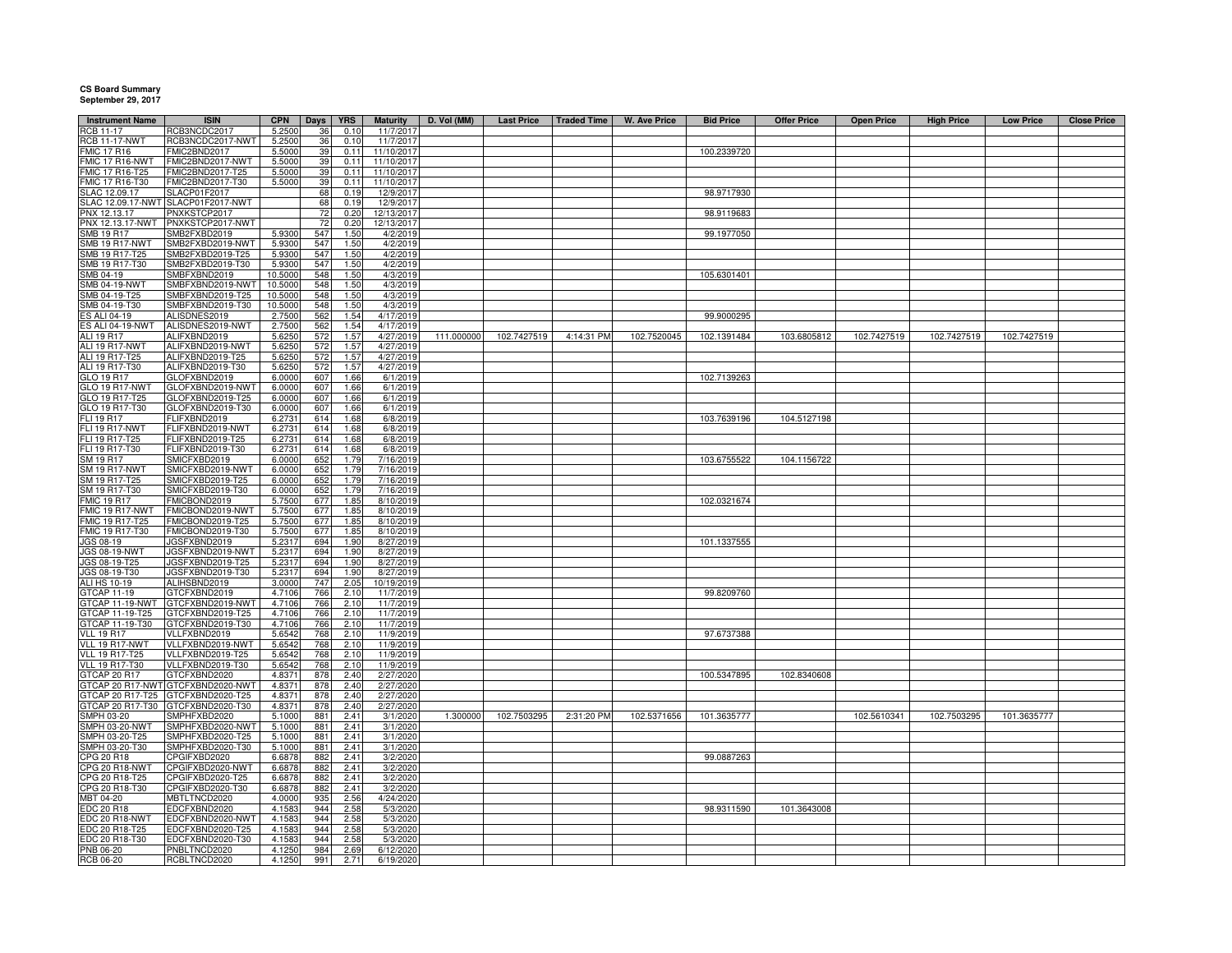## **CS Board Summary September 29, 2017**

| <b>Instrument Name</b>           | <b>ISIN</b>                          | <b>CPN</b>       | <b>Days</b> | <b>YRS</b>   | <b>Maturity</b>         | D. Vol (MM) | <b>Last Price</b> | <b>Traded Time</b> | W. Ave Price | <b>Bid Price</b> | <b>Offer Price</b> | <b>Open Price</b> | <b>High Price</b> | <b>Low Price</b> | <b>Close Price</b> |
|----------------------------------|--------------------------------------|------------------|-------------|--------------|-------------------------|-------------|-------------------|--------------------|--------------|------------------|--------------------|-------------------|-------------------|------------------|--------------------|
| <b>RCB 11-17</b>                 | RCB3NCDC2017                         | 5.2500           | 36          | 0.10         | 11/7/2017               |             |                   |                    |              |                  |                    |                   |                   |                  |                    |
| <b>RCB 11-17-NWT</b>             | RCB3NCDC2017-NWT                     | 5.2500           | 36          | 0.10         | 11/7/2017               |             |                   |                    |              |                  |                    |                   |                   |                  |                    |
| <b>FMIC 17 R16</b>               | FMIC2BND2017                         | 5.5000           | 39          | 0.11         | 11/10/2017              |             |                   |                    |              | 100.2339720      |                    |                   |                   |                  |                    |
| FMIC 17 R16-NWT                  | FMIC2BND2017-NWT                     | 5.5000           | 39          | 0.11         | 11/10/2017              |             |                   |                    |              |                  |                    |                   |                   |                  |                    |
| FMIC 17 R16-T25                  | FMIC2BND2017-T25                     | 5.5000           | 39          | 0.11         | 11/10/2017              |             |                   |                    |              |                  |                    |                   |                   |                  |                    |
| FMIC 17 R16-T30<br>SLAC 12.09.17 | FMIC2BND2017-T30<br>SLACP01F2017     | 5.5000           | 39<br>68    | 0.11<br>0.19 | 11/10/2017<br>12/9/2017 |             |                   |                    |              | 98.9717930       |                    |                   |                   |                  |                    |
|                                  | SLAC 12.09.17-NWT SLACP01F2017-NWT   |                  | 68          | 0.19         | 12/9/2017               |             |                   |                    |              |                  |                    |                   |                   |                  |                    |
| PNX 12.13.17                     | PNXKSTCP2017                         |                  | 72          | 0.20         | 12/13/2017              |             |                   |                    |              | 98.9119683       |                    |                   |                   |                  |                    |
| PNX 12.13.17-NWT                 | PNXKSTCP2017-NWT                     |                  | 72          | 0.20         | 12/13/2017              |             |                   |                    |              |                  |                    |                   |                   |                  |                    |
| <b>SMB 19 R17</b>                | SMB2FXBD2019                         | 5.930            | 547         | 1.50         | 4/2/2019                |             |                   |                    |              | 99.1977050       |                    |                   |                   |                  |                    |
| <b>SMB 19 R17-NWT</b>            | SMB2FXBD2019-NWT                     | 5.9300           | 547         | 1.50         | 4/2/2019                |             |                   |                    |              |                  |                    |                   |                   |                  |                    |
| MB 19 R17-T25                    | SMB2FXBD2019-T25                     | 5.930            | 547         | 1.50         | 4/2/2019                |             |                   |                    |              |                  |                    |                   |                   |                  |                    |
| MB 19 R17-T30                    | SMB2FXBD2019-T30                     | 5.930            | 547         | 1.50         | 4/2/2019                |             |                   |                    |              |                  |                    |                   |                   |                  |                    |
| MB 04-19                         | SMBFXBND2019                         | 10.5000          | 548         | 1.50         | 4/3/2019                |             |                   |                    |              | 105.6301401      |                    |                   |                   |                  |                    |
| <b>SMB 04-19-NWT</b>             | SMBFXBND2019-NWT                     | 10.5000          | 548         | 1.50         | 4/3/2019                |             |                   |                    |              |                  |                    |                   |                   |                  |                    |
| SMB 04-19-T25                    | SMBFXBND2019-T25                     | 10.5000          | 548         | 1.50         | 4/3/2019                |             |                   |                    |              |                  |                    |                   |                   |                  |                    |
| MB 04-19-T30                     | SMBFXBND2019-T30                     | 10.5000          | 548         | 1.50         | 4/3/2019                |             |                   |                    |              |                  |                    |                   |                   |                  |                    |
| S ALI 04-19<br>S ALI 04-19-NWT   | ALISDNES2019<br>ALISDNES2019-NWT     | 2.7500<br>2.7500 | 562<br>562  | 1.54<br>1.54 | 4/17/2019<br>4/17/2019  |             |                   |                    |              | 99.9000295       |                    |                   |                   |                  |                    |
| <b>ALI 19 R17</b>                | ALIFXBND2019                         | 5.6250           | 572         | 1.57         | 4/27/2019               | 111.000000  | 102.7427519       | 4:14:31 PM         | 102.7520045  | 102.1391484      | 103.6805812        | 102.7427519       | 102.7427519       | 102.7427519      |                    |
| ALI 19 R17-NWT                   | ALIFXBND2019-NWT                     | 5.6250           | 572         | 1.57         | 4/27/2019               |             |                   |                    |              |                  |                    |                   |                   |                  |                    |
| ALI 19 R17-T25                   | ALIFXBND2019-T25                     | 5.6250           | 572         | 1.57         | 4/27/2019               |             |                   |                    |              |                  |                    |                   |                   |                  |                    |
| ALI 19 R17-T30                   | ALIFXBND2019-T30                     | 5.6250           | 572         | 1.57         | 4/27/2019               |             |                   |                    |              |                  |                    |                   |                   |                  |                    |
| GLO 19 R17                       | GLOFXBND2019                         | 6.0000           | 607         | 1.66         | 6/1/2019                |             |                   |                    |              | 102.7139263      |                    |                   |                   |                  |                    |
| GLO 19 R17-NWT                   | GLOFXBND2019-NWT                     | 6.0000           | 607         | 1.66         | 6/1/2019                |             |                   |                    |              |                  |                    |                   |                   |                  |                    |
| GLO 19 R17-T25                   | GLOFXBND2019-T25                     | 6.0000           | 607         | 1.66         | 6/1/2019                |             |                   |                    |              |                  |                    |                   |                   |                  |                    |
| GLO 19 R17-T30                   | GLOFXBND2019-T30                     | 6.0000           | 607         | 1.66         | 6/1/2019                |             |                   |                    |              |                  |                    |                   |                   |                  |                    |
| FLI 19 R17                       | FLIFXBND2019                         | 6.273            | 614         | 1.68         | 6/8/2019                |             |                   |                    |              | 103.7639196      | 104.5127198        |                   |                   |                  |                    |
| FLI 19 R17-NWT                   | FLIFXBND2019-NWT                     | 6.273            | 614         | 1.68         | 6/8/2019                |             |                   |                    |              |                  |                    |                   |                   |                  |                    |
| FLI 19 R17-T25                   | FLIFXBND2019-T25                     | 6.273            | 614         | 1.68         | 6/8/2019                |             |                   |                    |              |                  |                    |                   |                   |                  |                    |
| FLI 19 R17-T30<br>SM 19 R17      | FLIFXBND2019-T30<br>SMICFXBD2019     | 6.273<br>6.0000  | 614         | 1.68<br>1.79 | 6/8/2019<br>7/16/2019   |             |                   |                    |              | 103.6755522      |                    |                   |                   |                  |                    |
| <b>SM 19 R17-NWT</b>             | SMICFXBD2019-NWT                     | 6.0000           | 652<br>652  | 1.79         | 7/16/2019               |             |                   |                    |              |                  | 104.1156722        |                   |                   |                  |                    |
| SM 19 R17-T25                    | SMICFXBD2019-T25                     | 6.0000           | 652         | 1.79         | 7/16/2019               |             |                   |                    |              |                  |                    |                   |                   |                  |                    |
| SM 19 R17-T30                    | SMICFXBD2019-T30                     | 6.0000           | 652         | 1.79         | 7/16/2019               |             |                   |                    |              |                  |                    |                   |                   |                  |                    |
| <b>FMIC 19 R17</b>               | FMICBOND2019                         | 5.7500           | 677         | 1.85         | 8/10/2019               |             |                   |                    |              | 102.0321674      |                    |                   |                   |                  |                    |
| FMIC 19 R17-NWT                  | FMICBOND2019-NWT                     | 5.7500           | 677         | 1.85         | 8/10/2019               |             |                   |                    |              |                  |                    |                   |                   |                  |                    |
| FMIC 19 R17-T25                  | FMICBOND2019-T25                     | 5.7500           | 677         | 1.85         | 8/10/2019               |             |                   |                    |              |                  |                    |                   |                   |                  |                    |
| FMIC 19 R17-T30                  | FMICBOND2019-T30                     | 5.7500           | 677         | 1.85         | 8/10/2019               |             |                   |                    |              |                  |                    |                   |                   |                  |                    |
| JGS 08-19<br>JGS 08-19-NWT       | JGSFXBND2019                         | 5.2317           | 694         | 1.90         | 8/27/2019               |             |                   |                    |              | 101.1337555      |                    |                   |                   |                  |                    |
|                                  | JGSFXBND2019-NWT                     | 5.2317           | 694         | 1.90         | 8/27/2019               |             |                   |                    |              |                  |                    |                   |                   |                  |                    |
| JGS 08-19-T25                    | JGSFXBND2019-T25                     | 5.2317           | 694         | 1.90         | 8/27/2019               |             |                   |                    |              |                  |                    |                   |                   |                  |                    |
| JGS 08-19-T30<br>ALI HS 10-19    | JGSFXBND2019-T30                     | 5.2317           | 694         | 1.90         | 8/27/2019               |             |                   |                    |              |                  |                    |                   |                   |                  |                    |
|                                  | ALIHSBND2019                         | 3.0000           | 747         | 2.05         | 10/19/2019              |             |                   |                    |              |                  |                    |                   |                   |                  |                    |
| GTCAP 11-19<br>GTCAP 11-19-NWT   | GTCFXBND2019<br>GTCFXBND2019-NWT     | 4.7106<br>4.7106 | 766<br>766  | 2.10<br>2.10 | 11/7/2019<br>11/7/2019  |             |                   |                    |              | 99.8209760       |                    |                   |                   |                  |                    |
| GTCAP 11-19-T25                  | GTCFXBND2019-T25                     | 4.7106           | 766         | 2.10         | 11/7/2019               |             |                   |                    |              |                  |                    |                   |                   |                  |                    |
| GTCAP 11-19-T30                  | GTCFXBND2019-T30                     | 4.7106           | 766         | 2.10         | 11/7/2019               |             |                   |                    |              |                  |                    |                   |                   |                  |                    |
| <b>VLL 19 R17</b>                | VLLFXBND2019                         | 5.6542           | 768         | 2.10         | 11/9/2019               |             |                   |                    |              | 97.6737388       |                    |                   |                   |                  |                    |
| VLL 19 R17-NWT                   | VLLFXBND2019-NWT                     | 5.6542           | 768         | 2.10         | 11/9/2019               |             |                   |                    |              |                  |                    |                   |                   |                  |                    |
| <b>VLL 19 R17-T25</b>            | VLLFXBND2019-T25                     | 5.6542           | 768         | 2.10         | 11/9/2019               |             |                   |                    |              |                  |                    |                   |                   |                  |                    |
| <b>VLL 19 R17-T30</b>            | VLLFXBND2019-T30                     | 5.6542           | 768         | 2.10         | 11/9/2019               |             |                   |                    |              |                  |                    |                   |                   |                  |                    |
| <b>STCAP 20 R17</b>              | GTCFXBND2020                         | 4.8371           | 878         | 2.40         | 2/27/2020               |             |                   |                    |              | 100.5347895      | 102.8340608        |                   |                   |                  |                    |
|                                  | TCAP 20 R17-NWT GTCFXBND2020-NWT     | 4.837            | 878         | 2.40         | 2/27/2020               |             |                   |                    |              |                  |                    |                   |                   |                  |                    |
| TCAP 20 R17-T25                  | GTCFXBND2020-T25                     | 4.837            | 878         | 2.40         | 2/27/2020               |             |                   |                    |              |                  |                    |                   |                   |                  |                    |
| TCAP 20 R17-T30                  | GTCFXBND2020-T30                     | 4.837            | 878         | 2.40         | 2/27/2020               |             |                   |                    |              |                  |                    |                   |                   |                  |                    |
| MPH 03-20<br>MPH 03-20-NWT       | SMPHFXBD2020                         | 5.1000           | 881         | 2.41         | 3/1/2020                | 1.300000    | 102.7503295       | 2:31:20 PM         | 102.5371656  | 101.3635777      |                    | 102.5610341       | 102.7503295       | 101.3635777      |                    |
| SMPH 03-20-T25                   | SMPHFXBD2020-NWT<br>SMPHFXBD2020-T25 | 5.1000<br>5.1000 | 881<br>881  | 2.41<br>2.41 | 3/1/2020<br>3/1/2020    |             |                   |                    |              |                  |                    |                   |                   |                  |                    |
| MPH 03-20-T30                    | SMPHFXBD2020-T30                     | 5.1000           | 881         | 2.41         | 3/1/2020                |             |                   |                    |              |                  |                    |                   |                   |                  |                    |
| PG 20 R18:                       | CPGIFXBD2020                         | 6.6878           | 882         | 2.41         | 3/2/2020                |             |                   |                    |              | 99.0887263       |                    |                   |                   |                  |                    |
| <b>PG 20 R18-NWT</b>             | CPGIFXBD2020-NWT                     | 6.6878           | 882         | 2.41         | 3/2/2020                |             |                   |                    |              |                  |                    |                   |                   |                  |                    |
| CPG 20 R18-T25                   | CPGIFXBD2020-T25                     | 6.6878           | 882         | 2.41         | 3/2/2020                |             |                   |                    |              |                  |                    |                   |                   |                  |                    |
| CPG 20 R18-T30                   | CPGIFXBD2020-T30                     | 6.6878           | 882         | 2.41         | 3/2/2020                |             |                   |                    |              |                  |                    |                   |                   |                  |                    |
| MBT 04-20                        | MBTLTNCD2020                         | 4.0000           | 935         | 2.56         | 4/24/2020               |             |                   |                    |              |                  |                    |                   |                   |                  |                    |
| <b>EDC 20 R18</b>                | EDCFXBND2020                         | 4.1583           | 944         | 2.58         | 5/3/2020                |             |                   |                    |              | 98.9311590       | 101.3643008        |                   |                   |                  |                    |
| EDC 20 R18-NWT                   | EDCFXBND2020-NWT                     | 4.1583           | 944         | 2.58         | 5/3/2020                |             |                   |                    |              |                  |                    |                   |                   |                  |                    |
| EDC 20 R18-T25                   | EDCFXBND2020-T25                     | 4.1583           | 944         | 2.58         | 5/3/2020                |             |                   |                    |              |                  |                    |                   |                   |                  |                    |
| EDC 20 R18-T30                   | EDCFXBND2020-T30                     | 4.1583           | 944         | 2.58         | 5/3/2020                |             |                   |                    |              |                  |                    |                   |                   |                  |                    |
| PNB 06-20                        | PNBLTNCD2020                         | 4.1250           | 984         | 2.69<br>2.71 | 6/12/2020               |             |                   |                    |              |                  |                    |                   |                   |                  |                    |
| RCB 06-20                        | RCBLTNCD2020                         | 4.1250           | 991         |              | 6/19/2020               |             |                   |                    |              |                  |                    |                   |                   |                  |                    |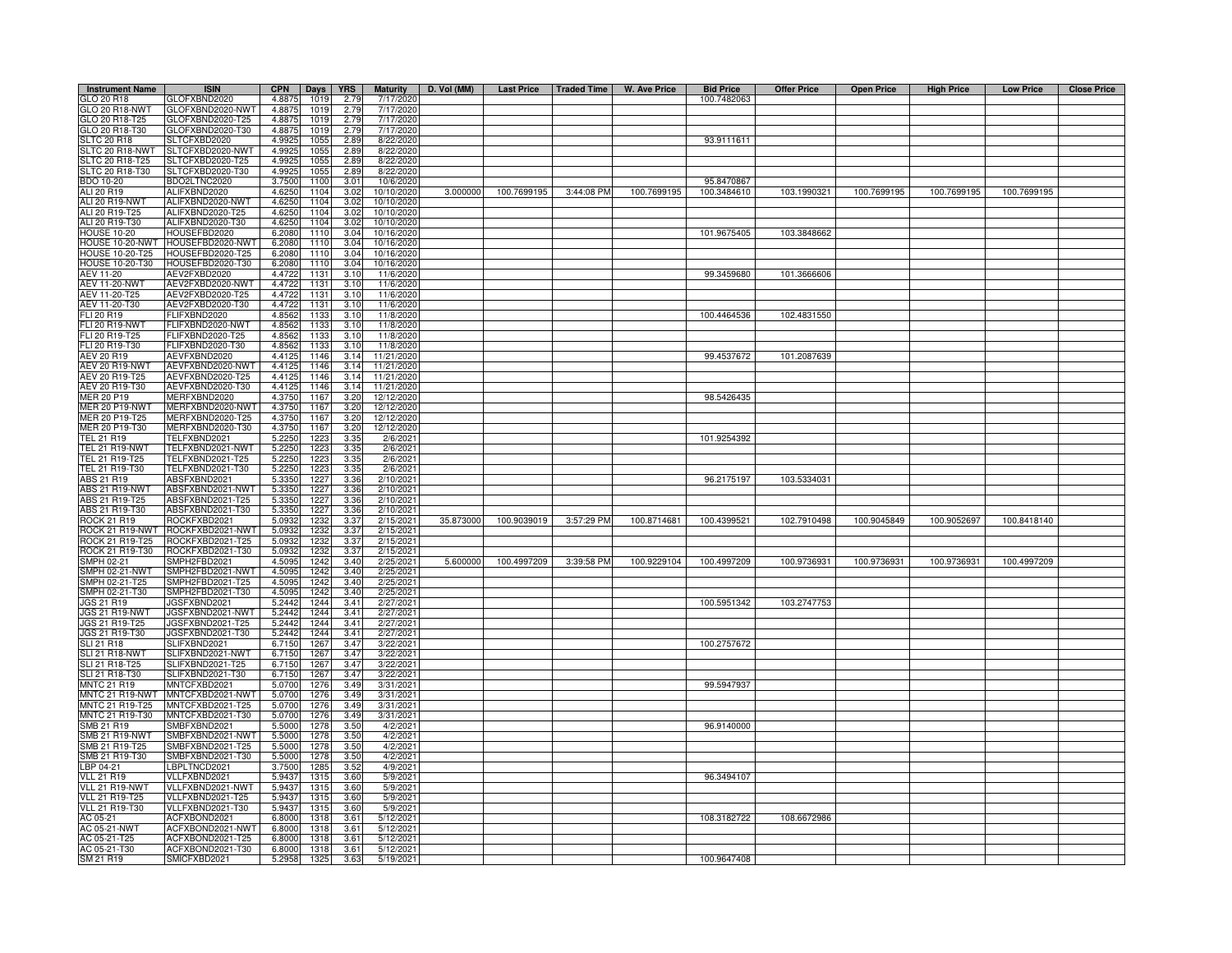| GLO 20 R18<br>GLOFXBND2020<br>4.8875<br>1019<br>2.79<br>7/17/2020<br>100.7482063<br>GLO 20 R18-NWT<br>GLOFXBND2020-NWT<br>4.8875<br>1019<br>2.79<br>7/17/2020<br>GLO 20 R18-T25<br>GLOFXBND2020-T25<br>1019<br>7/17/2020<br>4.8875<br>2.79<br>GLOFXBND2020-T30<br>GLO 20 R18-T30<br>1019<br>7/17/2020<br>4.8875<br>2.79<br>93.9111611<br><b>SLTC 20 R18</b><br>SLTCFXBD2020<br>4.9925<br>1055<br>2.89<br>8/22/2020<br>SLTCFXBD2020-NWT<br>SLTC 20 R18-NWT<br>4.9925<br>1055<br>2.89<br>8/22/2020<br>SLTCFXBD2020-T25<br>SLTC 20 R18-T25<br>4.9925<br>1055<br>2.89<br>8/22/2020<br>SLTC 20 R18-T30<br>SLTCFXBD2020-T30<br>4.9925<br>1055<br>2.89<br>8/22/2020<br>BDO2LTNC2020<br>BDO 10-20<br>3.7500<br>1100<br>3.01<br>10/6/2020<br>95.8470867<br>ALI 20 R19<br>ALIFXBND2020<br>3.000000<br>100.7699195<br>3:44:08 PM<br>100.7699195<br>100.3484610<br>103.1990321<br>100.7699195<br>100.7699195<br>100.7699195<br>4.6250<br>1104<br>3.02<br>10/10/2020<br>ALI 20 R19-NWT<br>ALIFXBND2020-NWT<br>4.6250<br>1104<br>3.02<br>10/10/2020<br>ALIFXBND2020-T25<br>ALI 20 R19-T25<br>4.6250<br>1104<br>3.02<br>10/10/2020<br>ALI 20 R19-T30<br>ALIFXBND2020-T30<br>4.6250<br>1104<br>3.02<br>10/10/2020<br>101.9675405<br>103.3848662<br><b>HOUSE 10-20</b><br>HOUSEFBD2020<br>6.2080<br>1110<br>3.04<br>10/16/2020<br>6.2080<br>10/16/2020<br>HOUSE 10-20-NWT<br>HOUSEFBD2020-NWT<br>1110<br>3.04<br>HOUSEFBD2020-T25<br>6.2080<br>10/16/2020<br><b>HOUSE 10-20-T25</b><br>1110<br>3.04<br>HOUSEFBD2020-T30<br><b>HOUSE 10-20-T30</b><br>6.2080<br>10/16/2020<br>1110<br>3.04<br>4.4722<br>AEV 11-20<br>AEV2FXBD2020<br>1131<br>3.10<br>11/6/2020<br>99.3459680<br>101.3666606<br><b>AEV 11-20-NWT</b><br>AEV2FXBD2020-NWT<br>4.4722<br>1131<br>3.10<br>11/6/2020<br>AEV 11-20-T25<br>AEV2FXBD2020-T25<br>4.4722<br>1131<br>3.1C<br>11/6/2020<br>AEV 11-20-T30<br>AEV2FXBD2020-T30<br>4.4722<br>1131<br>3.1C<br>11/6/2020<br>FLI 20 R19<br>FLIFXBND2020<br>4.8562<br>1133<br>3.1C<br>11/8/2020<br>100.4464536<br>102.4831550<br><b>FLI 20 R19-NWT</b><br>FLIFXBND2020-NWT<br>1133<br>3.1C<br>11/8/2020<br>4.8562<br>FLI 20 R19-T25<br>ELIFXBND2020-T25<br>1133<br>3.1C<br>11/8/2020<br>4.8562<br>FLI 20 R19-T30<br>LIFXBND2020-T30<br>4.8562<br>1133<br>3.10<br>11/8/2020<br>AEV 20 R19<br>AEVFXBND2020<br>4.4125<br>1146<br>3.14<br>11/21/2020<br>99.4537672<br>101.2087639<br>AEV 20 R19-NWT<br>AEVFXBND2020-NWT<br>4.4125<br>1146<br>3.14<br>11/21/2020<br>AEV 20 R19-T25<br>AEVFXBND2020-T25<br>4.4125<br>1146<br>3.14<br>11/21/2020<br>AEV 20 R19-T30<br>1146<br>AEVFXBND2020-T30<br>4.4125<br>3.14<br>11/21/2020<br><b>MER 20 P19</b><br>98.5426435<br>MERFXBND2020<br>1167<br>3.20<br>4.3750<br>12/12/2020<br><b>MER 20 P19-NWT</b><br>MERFXBND2020-NWT<br>4.3750<br>1167<br>3.20<br>12/12/2020<br>MER 20 P19-T25<br>JERFXBND2020-T25<br>1167<br>3.20<br>12/12/2020<br>4.3750<br>MER 20 P19-T30<br>MERFXBND2020-T30<br>4.3750<br>1167<br>3.20<br>12/12/2020<br><b>TEL 21 R19</b><br>TELFXBND2021<br>5.2250<br>1223<br>3.35<br>2/6/202<br>101.9254392<br>TEL 21 R19-NWT<br>FELFXBND2021-NWT<br>1223<br>2/6/202<br>5.2250<br>3.35<br>TEL 21 R19-T25<br>TELFXBND2021-T25<br>1223<br>2/6/202<br>5.2250<br>3.35<br>TEL 21 R19-T30<br>TELFXBND2021-T30<br>1223<br>2/6/202<br>5.2250<br>3.35<br>ABS 21 R19<br>ABSFXBND2021<br>5.3350<br>1227<br>3.36<br>2/10/2021<br>96.2175197<br>103.5334031<br>ABS 21 R19-NWT<br>ABSFXBND2021-NWT<br>5.335<br>122<br>3.36<br>2/10/2021<br>ABS 21 R19-T25<br>ABSFXBND2021-T25<br>1227<br>3.36<br>2/10/2021<br>5.3350<br>ABSFXBND2021-T30<br>2/10/2021<br>ABS 21 R19-T30<br>5.3350<br>1227<br>3.36<br>ROCK 21 R19<br>ROCKFXBD2021<br>1232<br>3.37<br>2/15/2021<br>35.873000<br>100.9039019<br>3:57:29 PM<br>100.4399521<br>102.7910498<br>100.9052697<br>5.0932<br>100.8714681<br>100.9045849<br>100.8418140<br>ROCK 21 R19-NWT<br>ROCKFXBD2021-NWT<br>5.0932<br>1232<br>3.37<br>2/15/2021<br>ROCK 21 R19-T25<br>ROCKFXBD2021-T25<br>5.093<br>1232<br>3.37<br>2/15/202<br>ROCK 21 R19-T30<br>ROCKFXBD2021-T30<br>5.0932<br>1232<br>3.37<br>2/15/202<br>MPH 02-21<br>MPH2FBD2021<br>4.5095<br>1242<br>3.40<br>2/25/202<br>5.600000<br>100.4997209<br>3:39:58 PM<br>100.9229104<br>100.4997209<br>100.9736931<br>100.9736931<br>100.9736931<br>100.4997209<br>MPH2FBD2021-NWT<br>MPH 02-21-NWT<br>4.5095<br>1242<br>3.40<br>2/25/202<br>MPH 02-21-T25<br>SMPH2FBD2021-T25<br>1242<br>2/25/202<br>4.5095<br>3.40<br>SMPH 02-21-T30<br>SMPH2FBD2021-T30<br>1242<br>2/25/202<br>4.5095<br>3.40<br>100.5951342<br>103.2747753<br>JGS 21 R19<br>JGSFXBND2021<br>5.2442<br>1244<br>3.41<br>2/27/2021<br>JGS 21 R19-NWT<br>JGSFXBND2021-NWT<br>5.2442<br>1244<br>3.41<br>2/27/2021<br>JGS 21 R19-T25<br>JGSFXBND2021-T25<br>5.2442<br>1244<br>3.41<br>2/27/2021<br>JGSFXBND2021-T30<br>JGS 21 R19-T30<br>1244<br>5.2442<br>3.41<br>2/27/2021<br><b>SLI 21 R18</b><br>SLIFXBND2021<br>1267<br>100.2757672<br>6.7150<br>3.47<br>3/22/2021<br>SLI 21 R18-NWT<br>LIFXBND2021-NWT<br>1267<br>3.47<br>6.7150<br>3/22/2021<br>LIFXBND2021-T25<br>SLI 21 R18-T25<br>6.7150<br>1267<br>3.47<br>3/22/2021<br>LIFXBND2021-T30<br>3/22/2021<br>SLI 21 R18-T30<br>6.7150<br>1267<br>3.47<br>99.5947937<br><b>MNTC 21 R19</b><br>MNTCFXBD2021<br>5.0700<br>1276<br>3.49<br>3/31/202<br>MNTCFXBD2021-NWT<br>MNTC 21 R19-NWT<br>5.0700<br>1276<br>3.49<br>3/31/202<br>MNTC 21 R19-T25<br>MNTCFXBD2021-T25<br>5.0700<br>1276<br>3.49<br>3/31/2021<br>MNTC 21 R19-T30<br>MNTCFXBD2021-T30<br>1276<br>3/31/2021<br>5.0700<br>3.49<br>SMB 21 R19<br>SMBFXBND2021<br>96.9140000<br>5.5000<br>1278<br>3.50<br>4/2/202<br>SMB 21 R19-NWT<br>SMBFXBND2021-NWT<br>5.5000<br>1278<br>3.50<br>4/2/202<br>SMBFXBND2021-T25<br>SMB 21 R19-T25<br>5.5000<br>1278<br>3.50<br>4/2/2021<br>SMBFXBND2021-T30<br>5.5000<br>SMB 21 R19-T30<br>1278<br>3.50<br>4/2/2021<br>LBPLTNCD2021<br>LBP 04-21<br>3.7500<br>1285<br>3.52<br>4/9/2021<br>VLLFXBND2021<br><b>VLL 21 R19</b><br>5.9437<br>5/9/2021<br>1315<br>3.60<br>96.3494107<br>VLL 21 R19-NWT<br>VLLFXBND2021-NWT<br>5.9437<br>131<br>3.60<br>5/9/2021<br><b>VLL 21 R19-T25</b><br>/LLFXBND2021-T25<br>5.9437<br>3.60<br>5/9/202<br>131<br>VLL 21 R19-T30<br>VLLFXBND2021-T30<br>5.9437<br>1315<br>3.60<br>5/9/202<br>AC 05-21<br>ACFXBOND2021<br>6.8000<br>1318<br>3.61<br>5/12/2021<br>108.3182722<br>108.6672986<br>AC 05-21-NWT<br>ACFXBOND2021-NWT<br>6,8000<br>1318<br>$3.6^{\circ}$<br>5/12/2021<br>AC 05-21-T25<br>ACFXBOND2021-T25<br>5/12/202<br>6.8000<br>1318<br>$3.6^{\circ}$<br>AC 05-21-T30<br>ACFXBOND2021-T30<br>6.8000<br>1318<br>3.6 <sup>°</sup><br>5/12/202<br>SM 21 R19<br>SMICFXBD2021<br>1325<br>3.63<br>5/19/2021<br>100.9647408<br>5.2958 | <b>Instrument Name</b> | <b>ISIN</b> | <b>CPN</b> | Days | <b>YRS</b> | <b>Maturity</b> | D. Vol (MM) |  | Last Price   Traded Time   W. Ave Price | <b>Bid Price</b> | <b>Offer Price</b> | <b>Open Price</b> | <b>High Price</b> | <b>Low Price</b> | <b>Close Price</b> |
|-----------------------------------------------------------------------------------------------------------------------------------------------------------------------------------------------------------------------------------------------------------------------------------------------------------------------------------------------------------------------------------------------------------------------------------------------------------------------------------------------------------------------------------------------------------------------------------------------------------------------------------------------------------------------------------------------------------------------------------------------------------------------------------------------------------------------------------------------------------------------------------------------------------------------------------------------------------------------------------------------------------------------------------------------------------------------------------------------------------------------------------------------------------------------------------------------------------------------------------------------------------------------------------------------------------------------------------------------------------------------------------------------------------------------------------------------------------------------------------------------------------------------------------------------------------------------------------------------------------------------------------------------------------------------------------------------------------------------------------------------------------------------------------------------------------------------------------------------------------------------------------------------------------------------------------------------------------------------------------------------------------------------------------------------------------------------------------------------------------------------------------------------------------------------------------------------------------------------------------------------------------------------------------------------------------------------------------------------------------------------------------------------------------------------------------------------------------------------------------------------------------------------------------------------------------------------------------------------------------------------------------------------------------------------------------------------------------------------------------------------------------------------------------------------------------------------------------------------------------------------------------------------------------------------------------------------------------------------------------------------------------------------------------------------------------------------------------------------------------------------------------------------------------------------------------------------------------------------------------------------------------------------------------------------------------------------------------------------------------------------------------------------------------------------------------------------------------------------------------------------------------------------------------------------------------------------------------------------------------------------------------------------------------------------------------------------------------------------------------------------------------------------------------------------------------------------------------------------------------------------------------------------------------------------------------------------------------------------------------------------------------------------------------------------------------------------------------------------------------------------------------------------------------------------------------------------------------------------------------------------------------------------------------------------------------------------------------------------------------------------------------------------------------------------------------------------------------------------------------------------------------------------------------------------------------------------------------------------------------------------------------------------------------------------------------------------------------------------------------------------------------------------------------------------------------------------------------------------------------------------------------------------------------------------------------------------------------------------------------------------------------------------------------------------------------------------------------------------------------------------------------------------------------------------------------------------------------------------------------------------------------------------------------------------------------------------------------------------------------------------------------------------------------------------------------------------------------------------------------------------------------------------------------------------------------------------------------------------------------------------------------------------------------------------------------------------------------------------------------------------------------------------------------------------------------------------------------------------------------------------------------------------------------------------------------------------------------------------------------------------------------------------------------------------------------------------------------------------------------------------------------------------------------------------------------------------------------------------------------------------------------------------------------------------------------------------------------------------------------------------------------------------------------------------------------------------------------------------------------------------------------------------------------------------------------------------------------------------------------------------------------------------------------------------------------------------------------|------------------------|-------------|------------|------|------------|-----------------|-------------|--|-----------------------------------------|------------------|--------------------|-------------------|-------------------|------------------|--------------------|
|                                                                                                                                                                                                                                                                                                                                                                                                                                                                                                                                                                                                                                                                                                                                                                                                                                                                                                                                                                                                                                                                                                                                                                                                                                                                                                                                                                                                                                                                                                                                                                                                                                                                                                                                                                                                                                                                                                                                                                                                                                                                                                                                                                                                                                                                                                                                                                                                                                                                                                                                                                                                                                                                                                                                                                                                                                                                                                                                                                                                                                                                                                                                                                                                                                                                                                                                                                                                                                                                                                                                                                                                                                                                                                                                                                                                                                                                                                                                                                                                                                                                                                                                                                                                                                                                                                                                                                                                                                                                                                                                                                                                                                                                                                                                                                                                                                                                                                                                                                                                                                                                                                                                                                                                                                                                                                                                                                                                                                                                                                                                                                                                                                                                                                                                                                                                                                                                                                                                                                                                                                                                                                                                                                                                                                                                                                                                                                                                                                                                                                                                                                                                                                                                                                           |                        |             |            |      |            |                 |             |  |                                         |                  |                    |                   |                   |                  |                    |
|                                                                                                                                                                                                                                                                                                                                                                                                                                                                                                                                                                                                                                                                                                                                                                                                                                                                                                                                                                                                                                                                                                                                                                                                                                                                                                                                                                                                                                                                                                                                                                                                                                                                                                                                                                                                                                                                                                                                                                                                                                                                                                                                                                                                                                                                                                                                                                                                                                                                                                                                                                                                                                                                                                                                                                                                                                                                                                                                                                                                                                                                                                                                                                                                                                                                                                                                                                                                                                                                                                                                                                                                                                                                                                                                                                                                                                                                                                                                                                                                                                                                                                                                                                                                                                                                                                                                                                                                                                                                                                                                                                                                                                                                                                                                                                                                                                                                                                                                                                                                                                                                                                                                                                                                                                                                                                                                                                                                                                                                                                                                                                                                                                                                                                                                                                                                                                                                                                                                                                                                                                                                                                                                                                                                                                                                                                                                                                                                                                                                                                                                                                                                                                                                                                           |                        |             |            |      |            |                 |             |  |                                         |                  |                    |                   |                   |                  |                    |
|                                                                                                                                                                                                                                                                                                                                                                                                                                                                                                                                                                                                                                                                                                                                                                                                                                                                                                                                                                                                                                                                                                                                                                                                                                                                                                                                                                                                                                                                                                                                                                                                                                                                                                                                                                                                                                                                                                                                                                                                                                                                                                                                                                                                                                                                                                                                                                                                                                                                                                                                                                                                                                                                                                                                                                                                                                                                                                                                                                                                                                                                                                                                                                                                                                                                                                                                                                                                                                                                                                                                                                                                                                                                                                                                                                                                                                                                                                                                                                                                                                                                                                                                                                                                                                                                                                                                                                                                                                                                                                                                                                                                                                                                                                                                                                                                                                                                                                                                                                                                                                                                                                                                                                                                                                                                                                                                                                                                                                                                                                                                                                                                                                                                                                                                                                                                                                                                                                                                                                                                                                                                                                                                                                                                                                                                                                                                                                                                                                                                                                                                                                                                                                                                                                           |                        |             |            |      |            |                 |             |  |                                         |                  |                    |                   |                   |                  |                    |
|                                                                                                                                                                                                                                                                                                                                                                                                                                                                                                                                                                                                                                                                                                                                                                                                                                                                                                                                                                                                                                                                                                                                                                                                                                                                                                                                                                                                                                                                                                                                                                                                                                                                                                                                                                                                                                                                                                                                                                                                                                                                                                                                                                                                                                                                                                                                                                                                                                                                                                                                                                                                                                                                                                                                                                                                                                                                                                                                                                                                                                                                                                                                                                                                                                                                                                                                                                                                                                                                                                                                                                                                                                                                                                                                                                                                                                                                                                                                                                                                                                                                                                                                                                                                                                                                                                                                                                                                                                                                                                                                                                                                                                                                                                                                                                                                                                                                                                                                                                                                                                                                                                                                                                                                                                                                                                                                                                                                                                                                                                                                                                                                                                                                                                                                                                                                                                                                                                                                                                                                                                                                                                                                                                                                                                                                                                                                                                                                                                                                                                                                                                                                                                                                                                           |                        |             |            |      |            |                 |             |  |                                         |                  |                    |                   |                   |                  |                    |
|                                                                                                                                                                                                                                                                                                                                                                                                                                                                                                                                                                                                                                                                                                                                                                                                                                                                                                                                                                                                                                                                                                                                                                                                                                                                                                                                                                                                                                                                                                                                                                                                                                                                                                                                                                                                                                                                                                                                                                                                                                                                                                                                                                                                                                                                                                                                                                                                                                                                                                                                                                                                                                                                                                                                                                                                                                                                                                                                                                                                                                                                                                                                                                                                                                                                                                                                                                                                                                                                                                                                                                                                                                                                                                                                                                                                                                                                                                                                                                                                                                                                                                                                                                                                                                                                                                                                                                                                                                                                                                                                                                                                                                                                                                                                                                                                                                                                                                                                                                                                                                                                                                                                                                                                                                                                                                                                                                                                                                                                                                                                                                                                                                                                                                                                                                                                                                                                                                                                                                                                                                                                                                                                                                                                                                                                                                                                                                                                                                                                                                                                                                                                                                                                                                           |                        |             |            |      |            |                 |             |  |                                         |                  |                    |                   |                   |                  |                    |
|                                                                                                                                                                                                                                                                                                                                                                                                                                                                                                                                                                                                                                                                                                                                                                                                                                                                                                                                                                                                                                                                                                                                                                                                                                                                                                                                                                                                                                                                                                                                                                                                                                                                                                                                                                                                                                                                                                                                                                                                                                                                                                                                                                                                                                                                                                                                                                                                                                                                                                                                                                                                                                                                                                                                                                                                                                                                                                                                                                                                                                                                                                                                                                                                                                                                                                                                                                                                                                                                                                                                                                                                                                                                                                                                                                                                                                                                                                                                                                                                                                                                                                                                                                                                                                                                                                                                                                                                                                                                                                                                                                                                                                                                                                                                                                                                                                                                                                                                                                                                                                                                                                                                                                                                                                                                                                                                                                                                                                                                                                                                                                                                                                                                                                                                                                                                                                                                                                                                                                                                                                                                                                                                                                                                                                                                                                                                                                                                                                                                                                                                                                                                                                                                                                           |                        |             |            |      |            |                 |             |  |                                         |                  |                    |                   |                   |                  |                    |
|                                                                                                                                                                                                                                                                                                                                                                                                                                                                                                                                                                                                                                                                                                                                                                                                                                                                                                                                                                                                                                                                                                                                                                                                                                                                                                                                                                                                                                                                                                                                                                                                                                                                                                                                                                                                                                                                                                                                                                                                                                                                                                                                                                                                                                                                                                                                                                                                                                                                                                                                                                                                                                                                                                                                                                                                                                                                                                                                                                                                                                                                                                                                                                                                                                                                                                                                                                                                                                                                                                                                                                                                                                                                                                                                                                                                                                                                                                                                                                                                                                                                                                                                                                                                                                                                                                                                                                                                                                                                                                                                                                                                                                                                                                                                                                                                                                                                                                                                                                                                                                                                                                                                                                                                                                                                                                                                                                                                                                                                                                                                                                                                                                                                                                                                                                                                                                                                                                                                                                                                                                                                                                                                                                                                                                                                                                                                                                                                                                                                                                                                                                                                                                                                                                           |                        |             |            |      |            |                 |             |  |                                         |                  |                    |                   |                   |                  |                    |
|                                                                                                                                                                                                                                                                                                                                                                                                                                                                                                                                                                                                                                                                                                                                                                                                                                                                                                                                                                                                                                                                                                                                                                                                                                                                                                                                                                                                                                                                                                                                                                                                                                                                                                                                                                                                                                                                                                                                                                                                                                                                                                                                                                                                                                                                                                                                                                                                                                                                                                                                                                                                                                                                                                                                                                                                                                                                                                                                                                                                                                                                                                                                                                                                                                                                                                                                                                                                                                                                                                                                                                                                                                                                                                                                                                                                                                                                                                                                                                                                                                                                                                                                                                                                                                                                                                                                                                                                                                                                                                                                                                                                                                                                                                                                                                                                                                                                                                                                                                                                                                                                                                                                                                                                                                                                                                                                                                                                                                                                                                                                                                                                                                                                                                                                                                                                                                                                                                                                                                                                                                                                                                                                                                                                                                                                                                                                                                                                                                                                                                                                                                                                                                                                                                           |                        |             |            |      |            |                 |             |  |                                         |                  |                    |                   |                   |                  |                    |
|                                                                                                                                                                                                                                                                                                                                                                                                                                                                                                                                                                                                                                                                                                                                                                                                                                                                                                                                                                                                                                                                                                                                                                                                                                                                                                                                                                                                                                                                                                                                                                                                                                                                                                                                                                                                                                                                                                                                                                                                                                                                                                                                                                                                                                                                                                                                                                                                                                                                                                                                                                                                                                                                                                                                                                                                                                                                                                                                                                                                                                                                                                                                                                                                                                                                                                                                                                                                                                                                                                                                                                                                                                                                                                                                                                                                                                                                                                                                                                                                                                                                                                                                                                                                                                                                                                                                                                                                                                                                                                                                                                                                                                                                                                                                                                                                                                                                                                                                                                                                                                                                                                                                                                                                                                                                                                                                                                                                                                                                                                                                                                                                                                                                                                                                                                                                                                                                                                                                                                                                                                                                                                                                                                                                                                                                                                                                                                                                                                                                                                                                                                                                                                                                                                           |                        |             |            |      |            |                 |             |  |                                         |                  |                    |                   |                   |                  |                    |
|                                                                                                                                                                                                                                                                                                                                                                                                                                                                                                                                                                                                                                                                                                                                                                                                                                                                                                                                                                                                                                                                                                                                                                                                                                                                                                                                                                                                                                                                                                                                                                                                                                                                                                                                                                                                                                                                                                                                                                                                                                                                                                                                                                                                                                                                                                                                                                                                                                                                                                                                                                                                                                                                                                                                                                                                                                                                                                                                                                                                                                                                                                                                                                                                                                                                                                                                                                                                                                                                                                                                                                                                                                                                                                                                                                                                                                                                                                                                                                                                                                                                                                                                                                                                                                                                                                                                                                                                                                                                                                                                                                                                                                                                                                                                                                                                                                                                                                                                                                                                                                                                                                                                                                                                                                                                                                                                                                                                                                                                                                                                                                                                                                                                                                                                                                                                                                                                                                                                                                                                                                                                                                                                                                                                                                                                                                                                                                                                                                                                                                                                                                                                                                                                                                           |                        |             |            |      |            |                 |             |  |                                         |                  |                    |                   |                   |                  |                    |
|                                                                                                                                                                                                                                                                                                                                                                                                                                                                                                                                                                                                                                                                                                                                                                                                                                                                                                                                                                                                                                                                                                                                                                                                                                                                                                                                                                                                                                                                                                                                                                                                                                                                                                                                                                                                                                                                                                                                                                                                                                                                                                                                                                                                                                                                                                                                                                                                                                                                                                                                                                                                                                                                                                                                                                                                                                                                                                                                                                                                                                                                                                                                                                                                                                                                                                                                                                                                                                                                                                                                                                                                                                                                                                                                                                                                                                                                                                                                                                                                                                                                                                                                                                                                                                                                                                                                                                                                                                                                                                                                                                                                                                                                                                                                                                                                                                                                                                                                                                                                                                                                                                                                                                                                                                                                                                                                                                                                                                                                                                                                                                                                                                                                                                                                                                                                                                                                                                                                                                                                                                                                                                                                                                                                                                                                                                                                                                                                                                                                                                                                                                                                                                                                                                           |                        |             |            |      |            |                 |             |  |                                         |                  |                    |                   |                   |                  |                    |
|                                                                                                                                                                                                                                                                                                                                                                                                                                                                                                                                                                                                                                                                                                                                                                                                                                                                                                                                                                                                                                                                                                                                                                                                                                                                                                                                                                                                                                                                                                                                                                                                                                                                                                                                                                                                                                                                                                                                                                                                                                                                                                                                                                                                                                                                                                                                                                                                                                                                                                                                                                                                                                                                                                                                                                                                                                                                                                                                                                                                                                                                                                                                                                                                                                                                                                                                                                                                                                                                                                                                                                                                                                                                                                                                                                                                                                                                                                                                                                                                                                                                                                                                                                                                                                                                                                                                                                                                                                                                                                                                                                                                                                                                                                                                                                                                                                                                                                                                                                                                                                                                                                                                                                                                                                                                                                                                                                                                                                                                                                                                                                                                                                                                                                                                                                                                                                                                                                                                                                                                                                                                                                                                                                                                                                                                                                                                                                                                                                                                                                                                                                                                                                                                                                           |                        |             |            |      |            |                 |             |  |                                         |                  |                    |                   |                   |                  |                    |
|                                                                                                                                                                                                                                                                                                                                                                                                                                                                                                                                                                                                                                                                                                                                                                                                                                                                                                                                                                                                                                                                                                                                                                                                                                                                                                                                                                                                                                                                                                                                                                                                                                                                                                                                                                                                                                                                                                                                                                                                                                                                                                                                                                                                                                                                                                                                                                                                                                                                                                                                                                                                                                                                                                                                                                                                                                                                                                                                                                                                                                                                                                                                                                                                                                                                                                                                                                                                                                                                                                                                                                                                                                                                                                                                                                                                                                                                                                                                                                                                                                                                                                                                                                                                                                                                                                                                                                                                                                                                                                                                                                                                                                                                                                                                                                                                                                                                                                                                                                                                                                                                                                                                                                                                                                                                                                                                                                                                                                                                                                                                                                                                                                                                                                                                                                                                                                                                                                                                                                                                                                                                                                                                                                                                                                                                                                                                                                                                                                                                                                                                                                                                                                                                                                           |                        |             |            |      |            |                 |             |  |                                         |                  |                    |                   |                   |                  |                    |
|                                                                                                                                                                                                                                                                                                                                                                                                                                                                                                                                                                                                                                                                                                                                                                                                                                                                                                                                                                                                                                                                                                                                                                                                                                                                                                                                                                                                                                                                                                                                                                                                                                                                                                                                                                                                                                                                                                                                                                                                                                                                                                                                                                                                                                                                                                                                                                                                                                                                                                                                                                                                                                                                                                                                                                                                                                                                                                                                                                                                                                                                                                                                                                                                                                                                                                                                                                                                                                                                                                                                                                                                                                                                                                                                                                                                                                                                                                                                                                                                                                                                                                                                                                                                                                                                                                                                                                                                                                                                                                                                                                                                                                                                                                                                                                                                                                                                                                                                                                                                                                                                                                                                                                                                                                                                                                                                                                                                                                                                                                                                                                                                                                                                                                                                                                                                                                                                                                                                                                                                                                                                                                                                                                                                                                                                                                                                                                                                                                                                                                                                                                                                                                                                                                           |                        |             |            |      |            |                 |             |  |                                         |                  |                    |                   |                   |                  |                    |
|                                                                                                                                                                                                                                                                                                                                                                                                                                                                                                                                                                                                                                                                                                                                                                                                                                                                                                                                                                                                                                                                                                                                                                                                                                                                                                                                                                                                                                                                                                                                                                                                                                                                                                                                                                                                                                                                                                                                                                                                                                                                                                                                                                                                                                                                                                                                                                                                                                                                                                                                                                                                                                                                                                                                                                                                                                                                                                                                                                                                                                                                                                                                                                                                                                                                                                                                                                                                                                                                                                                                                                                                                                                                                                                                                                                                                                                                                                                                                                                                                                                                                                                                                                                                                                                                                                                                                                                                                                                                                                                                                                                                                                                                                                                                                                                                                                                                                                                                                                                                                                                                                                                                                                                                                                                                                                                                                                                                                                                                                                                                                                                                                                                                                                                                                                                                                                                                                                                                                                                                                                                                                                                                                                                                                                                                                                                                                                                                                                                                                                                                                                                                                                                                                                           |                        |             |            |      |            |                 |             |  |                                         |                  |                    |                   |                   |                  |                    |
|                                                                                                                                                                                                                                                                                                                                                                                                                                                                                                                                                                                                                                                                                                                                                                                                                                                                                                                                                                                                                                                                                                                                                                                                                                                                                                                                                                                                                                                                                                                                                                                                                                                                                                                                                                                                                                                                                                                                                                                                                                                                                                                                                                                                                                                                                                                                                                                                                                                                                                                                                                                                                                                                                                                                                                                                                                                                                                                                                                                                                                                                                                                                                                                                                                                                                                                                                                                                                                                                                                                                                                                                                                                                                                                                                                                                                                                                                                                                                                                                                                                                                                                                                                                                                                                                                                                                                                                                                                                                                                                                                                                                                                                                                                                                                                                                                                                                                                                                                                                                                                                                                                                                                                                                                                                                                                                                                                                                                                                                                                                                                                                                                                                                                                                                                                                                                                                                                                                                                                                                                                                                                                                                                                                                                                                                                                                                                                                                                                                                                                                                                                                                                                                                                                           |                        |             |            |      |            |                 |             |  |                                         |                  |                    |                   |                   |                  |                    |
|                                                                                                                                                                                                                                                                                                                                                                                                                                                                                                                                                                                                                                                                                                                                                                                                                                                                                                                                                                                                                                                                                                                                                                                                                                                                                                                                                                                                                                                                                                                                                                                                                                                                                                                                                                                                                                                                                                                                                                                                                                                                                                                                                                                                                                                                                                                                                                                                                                                                                                                                                                                                                                                                                                                                                                                                                                                                                                                                                                                                                                                                                                                                                                                                                                                                                                                                                                                                                                                                                                                                                                                                                                                                                                                                                                                                                                                                                                                                                                                                                                                                                                                                                                                                                                                                                                                                                                                                                                                                                                                                                                                                                                                                                                                                                                                                                                                                                                                                                                                                                                                                                                                                                                                                                                                                                                                                                                                                                                                                                                                                                                                                                                                                                                                                                                                                                                                                                                                                                                                                                                                                                                                                                                                                                                                                                                                                                                                                                                                                                                                                                                                                                                                                                                           |                        |             |            |      |            |                 |             |  |                                         |                  |                    |                   |                   |                  |                    |
|                                                                                                                                                                                                                                                                                                                                                                                                                                                                                                                                                                                                                                                                                                                                                                                                                                                                                                                                                                                                                                                                                                                                                                                                                                                                                                                                                                                                                                                                                                                                                                                                                                                                                                                                                                                                                                                                                                                                                                                                                                                                                                                                                                                                                                                                                                                                                                                                                                                                                                                                                                                                                                                                                                                                                                                                                                                                                                                                                                                                                                                                                                                                                                                                                                                                                                                                                                                                                                                                                                                                                                                                                                                                                                                                                                                                                                                                                                                                                                                                                                                                                                                                                                                                                                                                                                                                                                                                                                                                                                                                                                                                                                                                                                                                                                                                                                                                                                                                                                                                                                                                                                                                                                                                                                                                                                                                                                                                                                                                                                                                                                                                                                                                                                                                                                                                                                                                                                                                                                                                                                                                                                                                                                                                                                                                                                                                                                                                                                                                                                                                                                                                                                                                                                           |                        |             |            |      |            |                 |             |  |                                         |                  |                    |                   |                   |                  |                    |
|                                                                                                                                                                                                                                                                                                                                                                                                                                                                                                                                                                                                                                                                                                                                                                                                                                                                                                                                                                                                                                                                                                                                                                                                                                                                                                                                                                                                                                                                                                                                                                                                                                                                                                                                                                                                                                                                                                                                                                                                                                                                                                                                                                                                                                                                                                                                                                                                                                                                                                                                                                                                                                                                                                                                                                                                                                                                                                                                                                                                                                                                                                                                                                                                                                                                                                                                                                                                                                                                                                                                                                                                                                                                                                                                                                                                                                                                                                                                                                                                                                                                                                                                                                                                                                                                                                                                                                                                                                                                                                                                                                                                                                                                                                                                                                                                                                                                                                                                                                                                                                                                                                                                                                                                                                                                                                                                                                                                                                                                                                                                                                                                                                                                                                                                                                                                                                                                                                                                                                                                                                                                                                                                                                                                                                                                                                                                                                                                                                                                                                                                                                                                                                                                                                           |                        |             |            |      |            |                 |             |  |                                         |                  |                    |                   |                   |                  |                    |
|                                                                                                                                                                                                                                                                                                                                                                                                                                                                                                                                                                                                                                                                                                                                                                                                                                                                                                                                                                                                                                                                                                                                                                                                                                                                                                                                                                                                                                                                                                                                                                                                                                                                                                                                                                                                                                                                                                                                                                                                                                                                                                                                                                                                                                                                                                                                                                                                                                                                                                                                                                                                                                                                                                                                                                                                                                                                                                                                                                                                                                                                                                                                                                                                                                                                                                                                                                                                                                                                                                                                                                                                                                                                                                                                                                                                                                                                                                                                                                                                                                                                                                                                                                                                                                                                                                                                                                                                                                                                                                                                                                                                                                                                                                                                                                                                                                                                                                                                                                                                                                                                                                                                                                                                                                                                                                                                                                                                                                                                                                                                                                                                                                                                                                                                                                                                                                                                                                                                                                                                                                                                                                                                                                                                                                                                                                                                                                                                                                                                                                                                                                                                                                                                                                           |                        |             |            |      |            |                 |             |  |                                         |                  |                    |                   |                   |                  |                    |
|                                                                                                                                                                                                                                                                                                                                                                                                                                                                                                                                                                                                                                                                                                                                                                                                                                                                                                                                                                                                                                                                                                                                                                                                                                                                                                                                                                                                                                                                                                                                                                                                                                                                                                                                                                                                                                                                                                                                                                                                                                                                                                                                                                                                                                                                                                                                                                                                                                                                                                                                                                                                                                                                                                                                                                                                                                                                                                                                                                                                                                                                                                                                                                                                                                                                                                                                                                                                                                                                                                                                                                                                                                                                                                                                                                                                                                                                                                                                                                                                                                                                                                                                                                                                                                                                                                                                                                                                                                                                                                                                                                                                                                                                                                                                                                                                                                                                                                                                                                                                                                                                                                                                                                                                                                                                                                                                                                                                                                                                                                                                                                                                                                                                                                                                                                                                                                                                                                                                                                                                                                                                                                                                                                                                                                                                                                                                                                                                                                                                                                                                                                                                                                                                                                           |                        |             |            |      |            |                 |             |  |                                         |                  |                    |                   |                   |                  |                    |
|                                                                                                                                                                                                                                                                                                                                                                                                                                                                                                                                                                                                                                                                                                                                                                                                                                                                                                                                                                                                                                                                                                                                                                                                                                                                                                                                                                                                                                                                                                                                                                                                                                                                                                                                                                                                                                                                                                                                                                                                                                                                                                                                                                                                                                                                                                                                                                                                                                                                                                                                                                                                                                                                                                                                                                                                                                                                                                                                                                                                                                                                                                                                                                                                                                                                                                                                                                                                                                                                                                                                                                                                                                                                                                                                                                                                                                                                                                                                                                                                                                                                                                                                                                                                                                                                                                                                                                                                                                                                                                                                                                                                                                                                                                                                                                                                                                                                                                                                                                                                                                                                                                                                                                                                                                                                                                                                                                                                                                                                                                                                                                                                                                                                                                                                                                                                                                                                                                                                                                                                                                                                                                                                                                                                                                                                                                                                                                                                                                                                                                                                                                                                                                                                                                           |                        |             |            |      |            |                 |             |  |                                         |                  |                    |                   |                   |                  |                    |
|                                                                                                                                                                                                                                                                                                                                                                                                                                                                                                                                                                                                                                                                                                                                                                                                                                                                                                                                                                                                                                                                                                                                                                                                                                                                                                                                                                                                                                                                                                                                                                                                                                                                                                                                                                                                                                                                                                                                                                                                                                                                                                                                                                                                                                                                                                                                                                                                                                                                                                                                                                                                                                                                                                                                                                                                                                                                                                                                                                                                                                                                                                                                                                                                                                                                                                                                                                                                                                                                                                                                                                                                                                                                                                                                                                                                                                                                                                                                                                                                                                                                                                                                                                                                                                                                                                                                                                                                                                                                                                                                                                                                                                                                                                                                                                                                                                                                                                                                                                                                                                                                                                                                                                                                                                                                                                                                                                                                                                                                                                                                                                                                                                                                                                                                                                                                                                                                                                                                                                                                                                                                                                                                                                                                                                                                                                                                                                                                                                                                                                                                                                                                                                                                                                           |                        |             |            |      |            |                 |             |  |                                         |                  |                    |                   |                   |                  |                    |
|                                                                                                                                                                                                                                                                                                                                                                                                                                                                                                                                                                                                                                                                                                                                                                                                                                                                                                                                                                                                                                                                                                                                                                                                                                                                                                                                                                                                                                                                                                                                                                                                                                                                                                                                                                                                                                                                                                                                                                                                                                                                                                                                                                                                                                                                                                                                                                                                                                                                                                                                                                                                                                                                                                                                                                                                                                                                                                                                                                                                                                                                                                                                                                                                                                                                                                                                                                                                                                                                                                                                                                                                                                                                                                                                                                                                                                                                                                                                                                                                                                                                                                                                                                                                                                                                                                                                                                                                                                                                                                                                                                                                                                                                                                                                                                                                                                                                                                                                                                                                                                                                                                                                                                                                                                                                                                                                                                                                                                                                                                                                                                                                                                                                                                                                                                                                                                                                                                                                                                                                                                                                                                                                                                                                                                                                                                                                                                                                                                                                                                                                                                                                                                                                                                           |                        |             |            |      |            |                 |             |  |                                         |                  |                    |                   |                   |                  |                    |
|                                                                                                                                                                                                                                                                                                                                                                                                                                                                                                                                                                                                                                                                                                                                                                                                                                                                                                                                                                                                                                                                                                                                                                                                                                                                                                                                                                                                                                                                                                                                                                                                                                                                                                                                                                                                                                                                                                                                                                                                                                                                                                                                                                                                                                                                                                                                                                                                                                                                                                                                                                                                                                                                                                                                                                                                                                                                                                                                                                                                                                                                                                                                                                                                                                                                                                                                                                                                                                                                                                                                                                                                                                                                                                                                                                                                                                                                                                                                                                                                                                                                                                                                                                                                                                                                                                                                                                                                                                                                                                                                                                                                                                                                                                                                                                                                                                                                                                                                                                                                                                                                                                                                                                                                                                                                                                                                                                                                                                                                                                                                                                                                                                                                                                                                                                                                                                                                                                                                                                                                                                                                                                                                                                                                                                                                                                                                                                                                                                                                                                                                                                                                                                                                                                           |                        |             |            |      |            |                 |             |  |                                         |                  |                    |                   |                   |                  |                    |
|                                                                                                                                                                                                                                                                                                                                                                                                                                                                                                                                                                                                                                                                                                                                                                                                                                                                                                                                                                                                                                                                                                                                                                                                                                                                                                                                                                                                                                                                                                                                                                                                                                                                                                                                                                                                                                                                                                                                                                                                                                                                                                                                                                                                                                                                                                                                                                                                                                                                                                                                                                                                                                                                                                                                                                                                                                                                                                                                                                                                                                                                                                                                                                                                                                                                                                                                                                                                                                                                                                                                                                                                                                                                                                                                                                                                                                                                                                                                                                                                                                                                                                                                                                                                                                                                                                                                                                                                                                                                                                                                                                                                                                                                                                                                                                                                                                                                                                                                                                                                                                                                                                                                                                                                                                                                                                                                                                                                                                                                                                                                                                                                                                                                                                                                                                                                                                                                                                                                                                                                                                                                                                                                                                                                                                                                                                                                                                                                                                                                                                                                                                                                                                                                                                           |                        |             |            |      |            |                 |             |  |                                         |                  |                    |                   |                   |                  |                    |
|                                                                                                                                                                                                                                                                                                                                                                                                                                                                                                                                                                                                                                                                                                                                                                                                                                                                                                                                                                                                                                                                                                                                                                                                                                                                                                                                                                                                                                                                                                                                                                                                                                                                                                                                                                                                                                                                                                                                                                                                                                                                                                                                                                                                                                                                                                                                                                                                                                                                                                                                                                                                                                                                                                                                                                                                                                                                                                                                                                                                                                                                                                                                                                                                                                                                                                                                                                                                                                                                                                                                                                                                                                                                                                                                                                                                                                                                                                                                                                                                                                                                                                                                                                                                                                                                                                                                                                                                                                                                                                                                                                                                                                                                                                                                                                                                                                                                                                                                                                                                                                                                                                                                                                                                                                                                                                                                                                                                                                                                                                                                                                                                                                                                                                                                                                                                                                                                                                                                                                                                                                                                                                                                                                                                                                                                                                                                                                                                                                                                                                                                                                                                                                                                                                           |                        |             |            |      |            |                 |             |  |                                         |                  |                    |                   |                   |                  |                    |
|                                                                                                                                                                                                                                                                                                                                                                                                                                                                                                                                                                                                                                                                                                                                                                                                                                                                                                                                                                                                                                                                                                                                                                                                                                                                                                                                                                                                                                                                                                                                                                                                                                                                                                                                                                                                                                                                                                                                                                                                                                                                                                                                                                                                                                                                                                                                                                                                                                                                                                                                                                                                                                                                                                                                                                                                                                                                                                                                                                                                                                                                                                                                                                                                                                                                                                                                                                                                                                                                                                                                                                                                                                                                                                                                                                                                                                                                                                                                                                                                                                                                                                                                                                                                                                                                                                                                                                                                                                                                                                                                                                                                                                                                                                                                                                                                                                                                                                                                                                                                                                                                                                                                                                                                                                                                                                                                                                                                                                                                                                                                                                                                                                                                                                                                                                                                                                                                                                                                                                                                                                                                                                                                                                                                                                                                                                                                                                                                                                                                                                                                                                                                                                                                                                           |                        |             |            |      |            |                 |             |  |                                         |                  |                    |                   |                   |                  |                    |
|                                                                                                                                                                                                                                                                                                                                                                                                                                                                                                                                                                                                                                                                                                                                                                                                                                                                                                                                                                                                                                                                                                                                                                                                                                                                                                                                                                                                                                                                                                                                                                                                                                                                                                                                                                                                                                                                                                                                                                                                                                                                                                                                                                                                                                                                                                                                                                                                                                                                                                                                                                                                                                                                                                                                                                                                                                                                                                                                                                                                                                                                                                                                                                                                                                                                                                                                                                                                                                                                                                                                                                                                                                                                                                                                                                                                                                                                                                                                                                                                                                                                                                                                                                                                                                                                                                                                                                                                                                                                                                                                                                                                                                                                                                                                                                                                                                                                                                                                                                                                                                                                                                                                                                                                                                                                                                                                                                                                                                                                                                                                                                                                                                                                                                                                                                                                                                                                                                                                                                                                                                                                                                                                                                                                                                                                                                                                                                                                                                                                                                                                                                                                                                                                                                           |                        |             |            |      |            |                 |             |  |                                         |                  |                    |                   |                   |                  |                    |
|                                                                                                                                                                                                                                                                                                                                                                                                                                                                                                                                                                                                                                                                                                                                                                                                                                                                                                                                                                                                                                                                                                                                                                                                                                                                                                                                                                                                                                                                                                                                                                                                                                                                                                                                                                                                                                                                                                                                                                                                                                                                                                                                                                                                                                                                                                                                                                                                                                                                                                                                                                                                                                                                                                                                                                                                                                                                                                                                                                                                                                                                                                                                                                                                                                                                                                                                                                                                                                                                                                                                                                                                                                                                                                                                                                                                                                                                                                                                                                                                                                                                                                                                                                                                                                                                                                                                                                                                                                                                                                                                                                                                                                                                                                                                                                                                                                                                                                                                                                                                                                                                                                                                                                                                                                                                                                                                                                                                                                                                                                                                                                                                                                                                                                                                                                                                                                                                                                                                                                                                                                                                                                                                                                                                                                                                                                                                                                                                                                                                                                                                                                                                                                                                                                           |                        |             |            |      |            |                 |             |  |                                         |                  |                    |                   |                   |                  |                    |
|                                                                                                                                                                                                                                                                                                                                                                                                                                                                                                                                                                                                                                                                                                                                                                                                                                                                                                                                                                                                                                                                                                                                                                                                                                                                                                                                                                                                                                                                                                                                                                                                                                                                                                                                                                                                                                                                                                                                                                                                                                                                                                                                                                                                                                                                                                                                                                                                                                                                                                                                                                                                                                                                                                                                                                                                                                                                                                                                                                                                                                                                                                                                                                                                                                                                                                                                                                                                                                                                                                                                                                                                                                                                                                                                                                                                                                                                                                                                                                                                                                                                                                                                                                                                                                                                                                                                                                                                                                                                                                                                                                                                                                                                                                                                                                                                                                                                                                                                                                                                                                                                                                                                                                                                                                                                                                                                                                                                                                                                                                                                                                                                                                                                                                                                                                                                                                                                                                                                                                                                                                                                                                                                                                                                                                                                                                                                                                                                                                                                                                                                                                                                                                                                                                           |                        |             |            |      |            |                 |             |  |                                         |                  |                    |                   |                   |                  |                    |
|                                                                                                                                                                                                                                                                                                                                                                                                                                                                                                                                                                                                                                                                                                                                                                                                                                                                                                                                                                                                                                                                                                                                                                                                                                                                                                                                                                                                                                                                                                                                                                                                                                                                                                                                                                                                                                                                                                                                                                                                                                                                                                                                                                                                                                                                                                                                                                                                                                                                                                                                                                                                                                                                                                                                                                                                                                                                                                                                                                                                                                                                                                                                                                                                                                                                                                                                                                                                                                                                                                                                                                                                                                                                                                                                                                                                                                                                                                                                                                                                                                                                                                                                                                                                                                                                                                                                                                                                                                                                                                                                                                                                                                                                                                                                                                                                                                                                                                                                                                                                                                                                                                                                                                                                                                                                                                                                                                                                                                                                                                                                                                                                                                                                                                                                                                                                                                                                                                                                                                                                                                                                                                                                                                                                                                                                                                                                                                                                                                                                                                                                                                                                                                                                                                           |                        |             |            |      |            |                 |             |  |                                         |                  |                    |                   |                   |                  |                    |
|                                                                                                                                                                                                                                                                                                                                                                                                                                                                                                                                                                                                                                                                                                                                                                                                                                                                                                                                                                                                                                                                                                                                                                                                                                                                                                                                                                                                                                                                                                                                                                                                                                                                                                                                                                                                                                                                                                                                                                                                                                                                                                                                                                                                                                                                                                                                                                                                                                                                                                                                                                                                                                                                                                                                                                                                                                                                                                                                                                                                                                                                                                                                                                                                                                                                                                                                                                                                                                                                                                                                                                                                                                                                                                                                                                                                                                                                                                                                                                                                                                                                                                                                                                                                                                                                                                                                                                                                                                                                                                                                                                                                                                                                                                                                                                                                                                                                                                                                                                                                                                                                                                                                                                                                                                                                                                                                                                                                                                                                                                                                                                                                                                                                                                                                                                                                                                                                                                                                                                                                                                                                                                                                                                                                                                                                                                                                                                                                                                                                                                                                                                                                                                                                                                           |                        |             |            |      |            |                 |             |  |                                         |                  |                    |                   |                   |                  |                    |
|                                                                                                                                                                                                                                                                                                                                                                                                                                                                                                                                                                                                                                                                                                                                                                                                                                                                                                                                                                                                                                                                                                                                                                                                                                                                                                                                                                                                                                                                                                                                                                                                                                                                                                                                                                                                                                                                                                                                                                                                                                                                                                                                                                                                                                                                                                                                                                                                                                                                                                                                                                                                                                                                                                                                                                                                                                                                                                                                                                                                                                                                                                                                                                                                                                                                                                                                                                                                                                                                                                                                                                                                                                                                                                                                                                                                                                                                                                                                                                                                                                                                                                                                                                                                                                                                                                                                                                                                                                                                                                                                                                                                                                                                                                                                                                                                                                                                                                                                                                                                                                                                                                                                                                                                                                                                                                                                                                                                                                                                                                                                                                                                                                                                                                                                                                                                                                                                                                                                                                                                                                                                                                                                                                                                                                                                                                                                                                                                                                                                                                                                                                                                                                                                                                           |                        |             |            |      |            |                 |             |  |                                         |                  |                    |                   |                   |                  |                    |
|                                                                                                                                                                                                                                                                                                                                                                                                                                                                                                                                                                                                                                                                                                                                                                                                                                                                                                                                                                                                                                                                                                                                                                                                                                                                                                                                                                                                                                                                                                                                                                                                                                                                                                                                                                                                                                                                                                                                                                                                                                                                                                                                                                                                                                                                                                                                                                                                                                                                                                                                                                                                                                                                                                                                                                                                                                                                                                                                                                                                                                                                                                                                                                                                                                                                                                                                                                                                                                                                                                                                                                                                                                                                                                                                                                                                                                                                                                                                                                                                                                                                                                                                                                                                                                                                                                                                                                                                                                                                                                                                                                                                                                                                                                                                                                                                                                                                                                                                                                                                                                                                                                                                                                                                                                                                                                                                                                                                                                                                                                                                                                                                                                                                                                                                                                                                                                                                                                                                                                                                                                                                                                                                                                                                                                                                                                                                                                                                                                                                                                                                                                                                                                                                                                           |                        |             |            |      |            |                 |             |  |                                         |                  |                    |                   |                   |                  |                    |
|                                                                                                                                                                                                                                                                                                                                                                                                                                                                                                                                                                                                                                                                                                                                                                                                                                                                                                                                                                                                                                                                                                                                                                                                                                                                                                                                                                                                                                                                                                                                                                                                                                                                                                                                                                                                                                                                                                                                                                                                                                                                                                                                                                                                                                                                                                                                                                                                                                                                                                                                                                                                                                                                                                                                                                                                                                                                                                                                                                                                                                                                                                                                                                                                                                                                                                                                                                                                                                                                                                                                                                                                                                                                                                                                                                                                                                                                                                                                                                                                                                                                                                                                                                                                                                                                                                                                                                                                                                                                                                                                                                                                                                                                                                                                                                                                                                                                                                                                                                                                                                                                                                                                                                                                                                                                                                                                                                                                                                                                                                                                                                                                                                                                                                                                                                                                                                                                                                                                                                                                                                                                                                                                                                                                                                                                                                                                                                                                                                                                                                                                                                                                                                                                                                           |                        |             |            |      |            |                 |             |  |                                         |                  |                    |                   |                   |                  |                    |
|                                                                                                                                                                                                                                                                                                                                                                                                                                                                                                                                                                                                                                                                                                                                                                                                                                                                                                                                                                                                                                                                                                                                                                                                                                                                                                                                                                                                                                                                                                                                                                                                                                                                                                                                                                                                                                                                                                                                                                                                                                                                                                                                                                                                                                                                                                                                                                                                                                                                                                                                                                                                                                                                                                                                                                                                                                                                                                                                                                                                                                                                                                                                                                                                                                                                                                                                                                                                                                                                                                                                                                                                                                                                                                                                                                                                                                                                                                                                                                                                                                                                                                                                                                                                                                                                                                                                                                                                                                                                                                                                                                                                                                                                                                                                                                                                                                                                                                                                                                                                                                                                                                                                                                                                                                                                                                                                                                                                                                                                                                                                                                                                                                                                                                                                                                                                                                                                                                                                                                                                                                                                                                                                                                                                                                                                                                                                                                                                                                                                                                                                                                                                                                                                                                           |                        |             |            |      |            |                 |             |  |                                         |                  |                    |                   |                   |                  |                    |
|                                                                                                                                                                                                                                                                                                                                                                                                                                                                                                                                                                                                                                                                                                                                                                                                                                                                                                                                                                                                                                                                                                                                                                                                                                                                                                                                                                                                                                                                                                                                                                                                                                                                                                                                                                                                                                                                                                                                                                                                                                                                                                                                                                                                                                                                                                                                                                                                                                                                                                                                                                                                                                                                                                                                                                                                                                                                                                                                                                                                                                                                                                                                                                                                                                                                                                                                                                                                                                                                                                                                                                                                                                                                                                                                                                                                                                                                                                                                                                                                                                                                                                                                                                                                                                                                                                                                                                                                                                                                                                                                                                                                                                                                                                                                                                                                                                                                                                                                                                                                                                                                                                                                                                                                                                                                                                                                                                                                                                                                                                                                                                                                                                                                                                                                                                                                                                                                                                                                                                                                                                                                                                                                                                                                                                                                                                                                                                                                                                                                                                                                                                                                                                                                                                           |                        |             |            |      |            |                 |             |  |                                         |                  |                    |                   |                   |                  |                    |
|                                                                                                                                                                                                                                                                                                                                                                                                                                                                                                                                                                                                                                                                                                                                                                                                                                                                                                                                                                                                                                                                                                                                                                                                                                                                                                                                                                                                                                                                                                                                                                                                                                                                                                                                                                                                                                                                                                                                                                                                                                                                                                                                                                                                                                                                                                                                                                                                                                                                                                                                                                                                                                                                                                                                                                                                                                                                                                                                                                                                                                                                                                                                                                                                                                                                                                                                                                                                                                                                                                                                                                                                                                                                                                                                                                                                                                                                                                                                                                                                                                                                                                                                                                                                                                                                                                                                                                                                                                                                                                                                                                                                                                                                                                                                                                                                                                                                                                                                                                                                                                                                                                                                                                                                                                                                                                                                                                                                                                                                                                                                                                                                                                                                                                                                                                                                                                                                                                                                                                                                                                                                                                                                                                                                                                                                                                                                                                                                                                                                                                                                                                                                                                                                                                           |                        |             |            |      |            |                 |             |  |                                         |                  |                    |                   |                   |                  |                    |
|                                                                                                                                                                                                                                                                                                                                                                                                                                                                                                                                                                                                                                                                                                                                                                                                                                                                                                                                                                                                                                                                                                                                                                                                                                                                                                                                                                                                                                                                                                                                                                                                                                                                                                                                                                                                                                                                                                                                                                                                                                                                                                                                                                                                                                                                                                                                                                                                                                                                                                                                                                                                                                                                                                                                                                                                                                                                                                                                                                                                                                                                                                                                                                                                                                                                                                                                                                                                                                                                                                                                                                                                                                                                                                                                                                                                                                                                                                                                                                                                                                                                                                                                                                                                                                                                                                                                                                                                                                                                                                                                                                                                                                                                                                                                                                                                                                                                                                                                                                                                                                                                                                                                                                                                                                                                                                                                                                                                                                                                                                                                                                                                                                                                                                                                                                                                                                                                                                                                                                                                                                                                                                                                                                                                                                                                                                                                                                                                                                                                                                                                                                                                                                                                                                           |                        |             |            |      |            |                 |             |  |                                         |                  |                    |                   |                   |                  |                    |
|                                                                                                                                                                                                                                                                                                                                                                                                                                                                                                                                                                                                                                                                                                                                                                                                                                                                                                                                                                                                                                                                                                                                                                                                                                                                                                                                                                                                                                                                                                                                                                                                                                                                                                                                                                                                                                                                                                                                                                                                                                                                                                                                                                                                                                                                                                                                                                                                                                                                                                                                                                                                                                                                                                                                                                                                                                                                                                                                                                                                                                                                                                                                                                                                                                                                                                                                                                                                                                                                                                                                                                                                                                                                                                                                                                                                                                                                                                                                                                                                                                                                                                                                                                                                                                                                                                                                                                                                                                                                                                                                                                                                                                                                                                                                                                                                                                                                                                                                                                                                                                                                                                                                                                                                                                                                                                                                                                                                                                                                                                                                                                                                                                                                                                                                                                                                                                                                                                                                                                                                                                                                                                                                                                                                                                                                                                                                                                                                                                                                                                                                                                                                                                                                                                           |                        |             |            |      |            |                 |             |  |                                         |                  |                    |                   |                   |                  |                    |
|                                                                                                                                                                                                                                                                                                                                                                                                                                                                                                                                                                                                                                                                                                                                                                                                                                                                                                                                                                                                                                                                                                                                                                                                                                                                                                                                                                                                                                                                                                                                                                                                                                                                                                                                                                                                                                                                                                                                                                                                                                                                                                                                                                                                                                                                                                                                                                                                                                                                                                                                                                                                                                                                                                                                                                                                                                                                                                                                                                                                                                                                                                                                                                                                                                                                                                                                                                                                                                                                                                                                                                                                                                                                                                                                                                                                                                                                                                                                                                                                                                                                                                                                                                                                                                                                                                                                                                                                                                                                                                                                                                                                                                                                                                                                                                                                                                                                                                                                                                                                                                                                                                                                                                                                                                                                                                                                                                                                                                                                                                                                                                                                                                                                                                                                                                                                                                                                                                                                                                                                                                                                                                                                                                                                                                                                                                                                                                                                                                                                                                                                                                                                                                                                                                           |                        |             |            |      |            |                 |             |  |                                         |                  |                    |                   |                   |                  |                    |
|                                                                                                                                                                                                                                                                                                                                                                                                                                                                                                                                                                                                                                                                                                                                                                                                                                                                                                                                                                                                                                                                                                                                                                                                                                                                                                                                                                                                                                                                                                                                                                                                                                                                                                                                                                                                                                                                                                                                                                                                                                                                                                                                                                                                                                                                                                                                                                                                                                                                                                                                                                                                                                                                                                                                                                                                                                                                                                                                                                                                                                                                                                                                                                                                                                                                                                                                                                                                                                                                                                                                                                                                                                                                                                                                                                                                                                                                                                                                                                                                                                                                                                                                                                                                                                                                                                                                                                                                                                                                                                                                                                                                                                                                                                                                                                                                                                                                                                                                                                                                                                                                                                                                                                                                                                                                                                                                                                                                                                                                                                                                                                                                                                                                                                                                                                                                                                                                                                                                                                                                                                                                                                                                                                                                                                                                                                                                                                                                                                                                                                                                                                                                                                                                                                           |                        |             |            |      |            |                 |             |  |                                         |                  |                    |                   |                   |                  |                    |
|                                                                                                                                                                                                                                                                                                                                                                                                                                                                                                                                                                                                                                                                                                                                                                                                                                                                                                                                                                                                                                                                                                                                                                                                                                                                                                                                                                                                                                                                                                                                                                                                                                                                                                                                                                                                                                                                                                                                                                                                                                                                                                                                                                                                                                                                                                                                                                                                                                                                                                                                                                                                                                                                                                                                                                                                                                                                                                                                                                                                                                                                                                                                                                                                                                                                                                                                                                                                                                                                                                                                                                                                                                                                                                                                                                                                                                                                                                                                                                                                                                                                                                                                                                                                                                                                                                                                                                                                                                                                                                                                                                                                                                                                                                                                                                                                                                                                                                                                                                                                                                                                                                                                                                                                                                                                                                                                                                                                                                                                                                                                                                                                                                                                                                                                                                                                                                                                                                                                                                                                                                                                                                                                                                                                                                                                                                                                                                                                                                                                                                                                                                                                                                                                                                           |                        |             |            |      |            |                 |             |  |                                         |                  |                    |                   |                   |                  |                    |
|                                                                                                                                                                                                                                                                                                                                                                                                                                                                                                                                                                                                                                                                                                                                                                                                                                                                                                                                                                                                                                                                                                                                                                                                                                                                                                                                                                                                                                                                                                                                                                                                                                                                                                                                                                                                                                                                                                                                                                                                                                                                                                                                                                                                                                                                                                                                                                                                                                                                                                                                                                                                                                                                                                                                                                                                                                                                                                                                                                                                                                                                                                                                                                                                                                                                                                                                                                                                                                                                                                                                                                                                                                                                                                                                                                                                                                                                                                                                                                                                                                                                                                                                                                                                                                                                                                                                                                                                                                                                                                                                                                                                                                                                                                                                                                                                                                                                                                                                                                                                                                                                                                                                                                                                                                                                                                                                                                                                                                                                                                                                                                                                                                                                                                                                                                                                                                                                                                                                                                                                                                                                                                                                                                                                                                                                                                                                                                                                                                                                                                                                                                                                                                                                                                           |                        |             |            |      |            |                 |             |  |                                         |                  |                    |                   |                   |                  |                    |
|                                                                                                                                                                                                                                                                                                                                                                                                                                                                                                                                                                                                                                                                                                                                                                                                                                                                                                                                                                                                                                                                                                                                                                                                                                                                                                                                                                                                                                                                                                                                                                                                                                                                                                                                                                                                                                                                                                                                                                                                                                                                                                                                                                                                                                                                                                                                                                                                                                                                                                                                                                                                                                                                                                                                                                                                                                                                                                                                                                                                                                                                                                                                                                                                                                                                                                                                                                                                                                                                                                                                                                                                                                                                                                                                                                                                                                                                                                                                                                                                                                                                                                                                                                                                                                                                                                                                                                                                                                                                                                                                                                                                                                                                                                                                                                                                                                                                                                                                                                                                                                                                                                                                                                                                                                                                                                                                                                                                                                                                                                                                                                                                                                                                                                                                                                                                                                                                                                                                                                                                                                                                                                                                                                                                                                                                                                                                                                                                                                                                                                                                                                                                                                                                                                           |                        |             |            |      |            |                 |             |  |                                         |                  |                    |                   |                   |                  |                    |
|                                                                                                                                                                                                                                                                                                                                                                                                                                                                                                                                                                                                                                                                                                                                                                                                                                                                                                                                                                                                                                                                                                                                                                                                                                                                                                                                                                                                                                                                                                                                                                                                                                                                                                                                                                                                                                                                                                                                                                                                                                                                                                                                                                                                                                                                                                                                                                                                                                                                                                                                                                                                                                                                                                                                                                                                                                                                                                                                                                                                                                                                                                                                                                                                                                                                                                                                                                                                                                                                                                                                                                                                                                                                                                                                                                                                                                                                                                                                                                                                                                                                                                                                                                                                                                                                                                                                                                                                                                                                                                                                                                                                                                                                                                                                                                                                                                                                                                                                                                                                                                                                                                                                                                                                                                                                                                                                                                                                                                                                                                                                                                                                                                                                                                                                                                                                                                                                                                                                                                                                                                                                                                                                                                                                                                                                                                                                                                                                                                                                                                                                                                                                                                                                                                           |                        |             |            |      |            |                 |             |  |                                         |                  |                    |                   |                   |                  |                    |
|                                                                                                                                                                                                                                                                                                                                                                                                                                                                                                                                                                                                                                                                                                                                                                                                                                                                                                                                                                                                                                                                                                                                                                                                                                                                                                                                                                                                                                                                                                                                                                                                                                                                                                                                                                                                                                                                                                                                                                                                                                                                                                                                                                                                                                                                                                                                                                                                                                                                                                                                                                                                                                                                                                                                                                                                                                                                                                                                                                                                                                                                                                                                                                                                                                                                                                                                                                                                                                                                                                                                                                                                                                                                                                                                                                                                                                                                                                                                                                                                                                                                                                                                                                                                                                                                                                                                                                                                                                                                                                                                                                                                                                                                                                                                                                                                                                                                                                                                                                                                                                                                                                                                                                                                                                                                                                                                                                                                                                                                                                                                                                                                                                                                                                                                                                                                                                                                                                                                                                                                                                                                                                                                                                                                                                                                                                                                                                                                                                                                                                                                                                                                                                                                                                           |                        |             |            |      |            |                 |             |  |                                         |                  |                    |                   |                   |                  |                    |
|                                                                                                                                                                                                                                                                                                                                                                                                                                                                                                                                                                                                                                                                                                                                                                                                                                                                                                                                                                                                                                                                                                                                                                                                                                                                                                                                                                                                                                                                                                                                                                                                                                                                                                                                                                                                                                                                                                                                                                                                                                                                                                                                                                                                                                                                                                                                                                                                                                                                                                                                                                                                                                                                                                                                                                                                                                                                                                                                                                                                                                                                                                                                                                                                                                                                                                                                                                                                                                                                                                                                                                                                                                                                                                                                                                                                                                                                                                                                                                                                                                                                                                                                                                                                                                                                                                                                                                                                                                                                                                                                                                                                                                                                                                                                                                                                                                                                                                                                                                                                                                                                                                                                                                                                                                                                                                                                                                                                                                                                                                                                                                                                                                                                                                                                                                                                                                                                                                                                                                                                                                                                                                                                                                                                                                                                                                                                                                                                                                                                                                                                                                                                                                                                                                           |                        |             |            |      |            |                 |             |  |                                         |                  |                    |                   |                   |                  |                    |
|                                                                                                                                                                                                                                                                                                                                                                                                                                                                                                                                                                                                                                                                                                                                                                                                                                                                                                                                                                                                                                                                                                                                                                                                                                                                                                                                                                                                                                                                                                                                                                                                                                                                                                                                                                                                                                                                                                                                                                                                                                                                                                                                                                                                                                                                                                                                                                                                                                                                                                                                                                                                                                                                                                                                                                                                                                                                                                                                                                                                                                                                                                                                                                                                                                                                                                                                                                                                                                                                                                                                                                                                                                                                                                                                                                                                                                                                                                                                                                                                                                                                                                                                                                                                                                                                                                                                                                                                                                                                                                                                                                                                                                                                                                                                                                                                                                                                                                                                                                                                                                                                                                                                                                                                                                                                                                                                                                                                                                                                                                                                                                                                                                                                                                                                                                                                                                                                                                                                                                                                                                                                                                                                                                                                                                                                                                                                                                                                                                                                                                                                                                                                                                                                                                           |                        |             |            |      |            |                 |             |  |                                         |                  |                    |                   |                   |                  |                    |
|                                                                                                                                                                                                                                                                                                                                                                                                                                                                                                                                                                                                                                                                                                                                                                                                                                                                                                                                                                                                                                                                                                                                                                                                                                                                                                                                                                                                                                                                                                                                                                                                                                                                                                                                                                                                                                                                                                                                                                                                                                                                                                                                                                                                                                                                                                                                                                                                                                                                                                                                                                                                                                                                                                                                                                                                                                                                                                                                                                                                                                                                                                                                                                                                                                                                                                                                                                                                                                                                                                                                                                                                                                                                                                                                                                                                                                                                                                                                                                                                                                                                                                                                                                                                                                                                                                                                                                                                                                                                                                                                                                                                                                                                                                                                                                                                                                                                                                                                                                                                                                                                                                                                                                                                                                                                                                                                                                                                                                                                                                                                                                                                                                                                                                                                                                                                                                                                                                                                                                                                                                                                                                                                                                                                                                                                                                                                                                                                                                                                                                                                                                                                                                                                                                           |                        |             |            |      |            |                 |             |  |                                         |                  |                    |                   |                   |                  |                    |
|                                                                                                                                                                                                                                                                                                                                                                                                                                                                                                                                                                                                                                                                                                                                                                                                                                                                                                                                                                                                                                                                                                                                                                                                                                                                                                                                                                                                                                                                                                                                                                                                                                                                                                                                                                                                                                                                                                                                                                                                                                                                                                                                                                                                                                                                                                                                                                                                                                                                                                                                                                                                                                                                                                                                                                                                                                                                                                                                                                                                                                                                                                                                                                                                                                                                                                                                                                                                                                                                                                                                                                                                                                                                                                                                                                                                                                                                                                                                                                                                                                                                                                                                                                                                                                                                                                                                                                                                                                                                                                                                                                                                                                                                                                                                                                                                                                                                                                                                                                                                                                                                                                                                                                                                                                                                                                                                                                                                                                                                                                                                                                                                                                                                                                                                                                                                                                                                                                                                                                                                                                                                                                                                                                                                                                                                                                                                                                                                                                                                                                                                                                                                                                                                                                           |                        |             |            |      |            |                 |             |  |                                         |                  |                    |                   |                   |                  |                    |
|                                                                                                                                                                                                                                                                                                                                                                                                                                                                                                                                                                                                                                                                                                                                                                                                                                                                                                                                                                                                                                                                                                                                                                                                                                                                                                                                                                                                                                                                                                                                                                                                                                                                                                                                                                                                                                                                                                                                                                                                                                                                                                                                                                                                                                                                                                                                                                                                                                                                                                                                                                                                                                                                                                                                                                                                                                                                                                                                                                                                                                                                                                                                                                                                                                                                                                                                                                                                                                                                                                                                                                                                                                                                                                                                                                                                                                                                                                                                                                                                                                                                                                                                                                                                                                                                                                                                                                                                                                                                                                                                                                                                                                                                                                                                                                                                                                                                                                                                                                                                                                                                                                                                                                                                                                                                                                                                                                                                                                                                                                                                                                                                                                                                                                                                                                                                                                                                                                                                                                                                                                                                                                                                                                                                                                                                                                                                                                                                                                                                                                                                                                                                                                                                                                           |                        |             |            |      |            |                 |             |  |                                         |                  |                    |                   |                   |                  |                    |
|                                                                                                                                                                                                                                                                                                                                                                                                                                                                                                                                                                                                                                                                                                                                                                                                                                                                                                                                                                                                                                                                                                                                                                                                                                                                                                                                                                                                                                                                                                                                                                                                                                                                                                                                                                                                                                                                                                                                                                                                                                                                                                                                                                                                                                                                                                                                                                                                                                                                                                                                                                                                                                                                                                                                                                                                                                                                                                                                                                                                                                                                                                                                                                                                                                                                                                                                                                                                                                                                                                                                                                                                                                                                                                                                                                                                                                                                                                                                                                                                                                                                                                                                                                                                                                                                                                                                                                                                                                                                                                                                                                                                                                                                                                                                                                                                                                                                                                                                                                                                                                                                                                                                                                                                                                                                                                                                                                                                                                                                                                                                                                                                                                                                                                                                                                                                                                                                                                                                                                                                                                                                                                                                                                                                                                                                                                                                                                                                                                                                                                                                                                                                                                                                                                           |                        |             |            |      |            |                 |             |  |                                         |                  |                    |                   |                   |                  |                    |
|                                                                                                                                                                                                                                                                                                                                                                                                                                                                                                                                                                                                                                                                                                                                                                                                                                                                                                                                                                                                                                                                                                                                                                                                                                                                                                                                                                                                                                                                                                                                                                                                                                                                                                                                                                                                                                                                                                                                                                                                                                                                                                                                                                                                                                                                                                                                                                                                                                                                                                                                                                                                                                                                                                                                                                                                                                                                                                                                                                                                                                                                                                                                                                                                                                                                                                                                                                                                                                                                                                                                                                                                                                                                                                                                                                                                                                                                                                                                                                                                                                                                                                                                                                                                                                                                                                                                                                                                                                                                                                                                                                                                                                                                                                                                                                                                                                                                                                                                                                                                                                                                                                                                                                                                                                                                                                                                                                                                                                                                                                                                                                                                                                                                                                                                                                                                                                                                                                                                                                                                                                                                                                                                                                                                                                                                                                                                                                                                                                                                                                                                                                                                                                                                                                           |                        |             |            |      |            |                 |             |  |                                         |                  |                    |                   |                   |                  |                    |
|                                                                                                                                                                                                                                                                                                                                                                                                                                                                                                                                                                                                                                                                                                                                                                                                                                                                                                                                                                                                                                                                                                                                                                                                                                                                                                                                                                                                                                                                                                                                                                                                                                                                                                                                                                                                                                                                                                                                                                                                                                                                                                                                                                                                                                                                                                                                                                                                                                                                                                                                                                                                                                                                                                                                                                                                                                                                                                                                                                                                                                                                                                                                                                                                                                                                                                                                                                                                                                                                                                                                                                                                                                                                                                                                                                                                                                                                                                                                                                                                                                                                                                                                                                                                                                                                                                                                                                                                                                                                                                                                                                                                                                                                                                                                                                                                                                                                                                                                                                                                                                                                                                                                                                                                                                                                                                                                                                                                                                                                                                                                                                                                                                                                                                                                                                                                                                                                                                                                                                                                                                                                                                                                                                                                                                                                                                                                                                                                                                                                                                                                                                                                                                                                                                           |                        |             |            |      |            |                 |             |  |                                         |                  |                    |                   |                   |                  |                    |
|                                                                                                                                                                                                                                                                                                                                                                                                                                                                                                                                                                                                                                                                                                                                                                                                                                                                                                                                                                                                                                                                                                                                                                                                                                                                                                                                                                                                                                                                                                                                                                                                                                                                                                                                                                                                                                                                                                                                                                                                                                                                                                                                                                                                                                                                                                                                                                                                                                                                                                                                                                                                                                                                                                                                                                                                                                                                                                                                                                                                                                                                                                                                                                                                                                                                                                                                                                                                                                                                                                                                                                                                                                                                                                                                                                                                                                                                                                                                                                                                                                                                                                                                                                                                                                                                                                                                                                                                                                                                                                                                                                                                                                                                                                                                                                                                                                                                                                                                                                                                                                                                                                                                                                                                                                                                                                                                                                                                                                                                                                                                                                                                                                                                                                                                                                                                                                                                                                                                                                                                                                                                                                                                                                                                                                                                                                                                                                                                                                                                                                                                                                                                                                                                                                           |                        |             |            |      |            |                 |             |  |                                         |                  |                    |                   |                   |                  |                    |
|                                                                                                                                                                                                                                                                                                                                                                                                                                                                                                                                                                                                                                                                                                                                                                                                                                                                                                                                                                                                                                                                                                                                                                                                                                                                                                                                                                                                                                                                                                                                                                                                                                                                                                                                                                                                                                                                                                                                                                                                                                                                                                                                                                                                                                                                                                                                                                                                                                                                                                                                                                                                                                                                                                                                                                                                                                                                                                                                                                                                                                                                                                                                                                                                                                                                                                                                                                                                                                                                                                                                                                                                                                                                                                                                                                                                                                                                                                                                                                                                                                                                                                                                                                                                                                                                                                                                                                                                                                                                                                                                                                                                                                                                                                                                                                                                                                                                                                                                                                                                                                                                                                                                                                                                                                                                                                                                                                                                                                                                                                                                                                                                                                                                                                                                                                                                                                                                                                                                                                                                                                                                                                                                                                                                                                                                                                                                                                                                                                                                                                                                                                                                                                                                                                           |                        |             |            |      |            |                 |             |  |                                         |                  |                    |                   |                   |                  |                    |
|                                                                                                                                                                                                                                                                                                                                                                                                                                                                                                                                                                                                                                                                                                                                                                                                                                                                                                                                                                                                                                                                                                                                                                                                                                                                                                                                                                                                                                                                                                                                                                                                                                                                                                                                                                                                                                                                                                                                                                                                                                                                                                                                                                                                                                                                                                                                                                                                                                                                                                                                                                                                                                                                                                                                                                                                                                                                                                                                                                                                                                                                                                                                                                                                                                                                                                                                                                                                                                                                                                                                                                                                                                                                                                                                                                                                                                                                                                                                                                                                                                                                                                                                                                                                                                                                                                                                                                                                                                                                                                                                                                                                                                                                                                                                                                                                                                                                                                                                                                                                                                                                                                                                                                                                                                                                                                                                                                                                                                                                                                                                                                                                                                                                                                                                                                                                                                                                                                                                                                                                                                                                                                                                                                                                                                                                                                                                                                                                                                                                                                                                                                                                                                                                                                           |                        |             |            |      |            |                 |             |  |                                         |                  |                    |                   |                   |                  |                    |
|                                                                                                                                                                                                                                                                                                                                                                                                                                                                                                                                                                                                                                                                                                                                                                                                                                                                                                                                                                                                                                                                                                                                                                                                                                                                                                                                                                                                                                                                                                                                                                                                                                                                                                                                                                                                                                                                                                                                                                                                                                                                                                                                                                                                                                                                                                                                                                                                                                                                                                                                                                                                                                                                                                                                                                                                                                                                                                                                                                                                                                                                                                                                                                                                                                                                                                                                                                                                                                                                                                                                                                                                                                                                                                                                                                                                                                                                                                                                                                                                                                                                                                                                                                                                                                                                                                                                                                                                                                                                                                                                                                                                                                                                                                                                                                                                                                                                                                                                                                                                                                                                                                                                                                                                                                                                                                                                                                                                                                                                                                                                                                                                                                                                                                                                                                                                                                                                                                                                                                                                                                                                                                                                                                                                                                                                                                                                                                                                                                                                                                                                                                                                                                                                                                           |                        |             |            |      |            |                 |             |  |                                         |                  |                    |                   |                   |                  |                    |
|                                                                                                                                                                                                                                                                                                                                                                                                                                                                                                                                                                                                                                                                                                                                                                                                                                                                                                                                                                                                                                                                                                                                                                                                                                                                                                                                                                                                                                                                                                                                                                                                                                                                                                                                                                                                                                                                                                                                                                                                                                                                                                                                                                                                                                                                                                                                                                                                                                                                                                                                                                                                                                                                                                                                                                                                                                                                                                                                                                                                                                                                                                                                                                                                                                                                                                                                                                                                                                                                                                                                                                                                                                                                                                                                                                                                                                                                                                                                                                                                                                                                                                                                                                                                                                                                                                                                                                                                                                                                                                                                                                                                                                                                                                                                                                                                                                                                                                                                                                                                                                                                                                                                                                                                                                                                                                                                                                                                                                                                                                                                                                                                                                                                                                                                                                                                                                                                                                                                                                                                                                                                                                                                                                                                                                                                                                                                                                                                                                                                                                                                                                                                                                                                                                           |                        |             |            |      |            |                 |             |  |                                         |                  |                    |                   |                   |                  |                    |
|                                                                                                                                                                                                                                                                                                                                                                                                                                                                                                                                                                                                                                                                                                                                                                                                                                                                                                                                                                                                                                                                                                                                                                                                                                                                                                                                                                                                                                                                                                                                                                                                                                                                                                                                                                                                                                                                                                                                                                                                                                                                                                                                                                                                                                                                                                                                                                                                                                                                                                                                                                                                                                                                                                                                                                                                                                                                                                                                                                                                                                                                                                                                                                                                                                                                                                                                                                                                                                                                                                                                                                                                                                                                                                                                                                                                                                                                                                                                                                                                                                                                                                                                                                                                                                                                                                                                                                                                                                                                                                                                                                                                                                                                                                                                                                                                                                                                                                                                                                                                                                                                                                                                                                                                                                                                                                                                                                                                                                                                                                                                                                                                                                                                                                                                                                                                                                                                                                                                                                                                                                                                                                                                                                                                                                                                                                                                                                                                                                                                                                                                                                                                                                                                                                           |                        |             |            |      |            |                 |             |  |                                         |                  |                    |                   |                   |                  |                    |
|                                                                                                                                                                                                                                                                                                                                                                                                                                                                                                                                                                                                                                                                                                                                                                                                                                                                                                                                                                                                                                                                                                                                                                                                                                                                                                                                                                                                                                                                                                                                                                                                                                                                                                                                                                                                                                                                                                                                                                                                                                                                                                                                                                                                                                                                                                                                                                                                                                                                                                                                                                                                                                                                                                                                                                                                                                                                                                                                                                                                                                                                                                                                                                                                                                                                                                                                                                                                                                                                                                                                                                                                                                                                                                                                                                                                                                                                                                                                                                                                                                                                                                                                                                                                                                                                                                                                                                                                                                                                                                                                                                                                                                                                                                                                                                                                                                                                                                                                                                                                                                                                                                                                                                                                                                                                                                                                                                                                                                                                                                                                                                                                                                                                                                                                                                                                                                                                                                                                                                                                                                                                                                                                                                                                                                                                                                                                                                                                                                                                                                                                                                                                                                                                                                           |                        |             |            |      |            |                 |             |  |                                         |                  |                    |                   |                   |                  |                    |
|                                                                                                                                                                                                                                                                                                                                                                                                                                                                                                                                                                                                                                                                                                                                                                                                                                                                                                                                                                                                                                                                                                                                                                                                                                                                                                                                                                                                                                                                                                                                                                                                                                                                                                                                                                                                                                                                                                                                                                                                                                                                                                                                                                                                                                                                                                                                                                                                                                                                                                                                                                                                                                                                                                                                                                                                                                                                                                                                                                                                                                                                                                                                                                                                                                                                                                                                                                                                                                                                                                                                                                                                                                                                                                                                                                                                                                                                                                                                                                                                                                                                                                                                                                                                                                                                                                                                                                                                                                                                                                                                                                                                                                                                                                                                                                                                                                                                                                                                                                                                                                                                                                                                                                                                                                                                                                                                                                                                                                                                                                                                                                                                                                                                                                                                                                                                                                                                                                                                                                                                                                                                                                                                                                                                                                                                                                                                                                                                                                                                                                                                                                                                                                                                                                           |                        |             |            |      |            |                 |             |  |                                         |                  |                    |                   |                   |                  |                    |
|                                                                                                                                                                                                                                                                                                                                                                                                                                                                                                                                                                                                                                                                                                                                                                                                                                                                                                                                                                                                                                                                                                                                                                                                                                                                                                                                                                                                                                                                                                                                                                                                                                                                                                                                                                                                                                                                                                                                                                                                                                                                                                                                                                                                                                                                                                                                                                                                                                                                                                                                                                                                                                                                                                                                                                                                                                                                                                                                                                                                                                                                                                                                                                                                                                                                                                                                                                                                                                                                                                                                                                                                                                                                                                                                                                                                                                                                                                                                                                                                                                                                                                                                                                                                                                                                                                                                                                                                                                                                                                                                                                                                                                                                                                                                                                                                                                                                                                                                                                                                                                                                                                                                                                                                                                                                                                                                                                                                                                                                                                                                                                                                                                                                                                                                                                                                                                                                                                                                                                                                                                                                                                                                                                                                                                                                                                                                                                                                                                                                                                                                                                                                                                                                                                           |                        |             |            |      |            |                 |             |  |                                         |                  |                    |                   |                   |                  |                    |
|                                                                                                                                                                                                                                                                                                                                                                                                                                                                                                                                                                                                                                                                                                                                                                                                                                                                                                                                                                                                                                                                                                                                                                                                                                                                                                                                                                                                                                                                                                                                                                                                                                                                                                                                                                                                                                                                                                                                                                                                                                                                                                                                                                                                                                                                                                                                                                                                                                                                                                                                                                                                                                                                                                                                                                                                                                                                                                                                                                                                                                                                                                                                                                                                                                                                                                                                                                                                                                                                                                                                                                                                                                                                                                                                                                                                                                                                                                                                                                                                                                                                                                                                                                                                                                                                                                                                                                                                                                                                                                                                                                                                                                                                                                                                                                                                                                                                                                                                                                                                                                                                                                                                                                                                                                                                                                                                                                                                                                                                                                                                                                                                                                                                                                                                                                                                                                                                                                                                                                                                                                                                                                                                                                                                                                                                                                                                                                                                                                                                                                                                                                                                                                                                                                           |                        |             |            |      |            |                 |             |  |                                         |                  |                    |                   |                   |                  |                    |
|                                                                                                                                                                                                                                                                                                                                                                                                                                                                                                                                                                                                                                                                                                                                                                                                                                                                                                                                                                                                                                                                                                                                                                                                                                                                                                                                                                                                                                                                                                                                                                                                                                                                                                                                                                                                                                                                                                                                                                                                                                                                                                                                                                                                                                                                                                                                                                                                                                                                                                                                                                                                                                                                                                                                                                                                                                                                                                                                                                                                                                                                                                                                                                                                                                                                                                                                                                                                                                                                                                                                                                                                                                                                                                                                                                                                                                                                                                                                                                                                                                                                                                                                                                                                                                                                                                                                                                                                                                                                                                                                                                                                                                                                                                                                                                                                                                                                                                                                                                                                                                                                                                                                                                                                                                                                                                                                                                                                                                                                                                                                                                                                                                                                                                                                                                                                                                                                                                                                                                                                                                                                                                                                                                                                                                                                                                                                                                                                                                                                                                                                                                                                                                                                                                           |                        |             |            |      |            |                 |             |  |                                         |                  |                    |                   |                   |                  |                    |
|                                                                                                                                                                                                                                                                                                                                                                                                                                                                                                                                                                                                                                                                                                                                                                                                                                                                                                                                                                                                                                                                                                                                                                                                                                                                                                                                                                                                                                                                                                                                                                                                                                                                                                                                                                                                                                                                                                                                                                                                                                                                                                                                                                                                                                                                                                                                                                                                                                                                                                                                                                                                                                                                                                                                                                                                                                                                                                                                                                                                                                                                                                                                                                                                                                                                                                                                                                                                                                                                                                                                                                                                                                                                                                                                                                                                                                                                                                                                                                                                                                                                                                                                                                                                                                                                                                                                                                                                                                                                                                                                                                                                                                                                                                                                                                                                                                                                                                                                                                                                                                                                                                                                                                                                                                                                                                                                                                                                                                                                                                                                                                                                                                                                                                                                                                                                                                                                                                                                                                                                                                                                                                                                                                                                                                                                                                                                                                                                                                                                                                                                                                                                                                                                                                           |                        |             |            |      |            |                 |             |  |                                         |                  |                    |                   |                   |                  |                    |
|                                                                                                                                                                                                                                                                                                                                                                                                                                                                                                                                                                                                                                                                                                                                                                                                                                                                                                                                                                                                                                                                                                                                                                                                                                                                                                                                                                                                                                                                                                                                                                                                                                                                                                                                                                                                                                                                                                                                                                                                                                                                                                                                                                                                                                                                                                                                                                                                                                                                                                                                                                                                                                                                                                                                                                                                                                                                                                                                                                                                                                                                                                                                                                                                                                                                                                                                                                                                                                                                                                                                                                                                                                                                                                                                                                                                                                                                                                                                                                                                                                                                                                                                                                                                                                                                                                                                                                                                                                                                                                                                                                                                                                                                                                                                                                                                                                                                                                                                                                                                                                                                                                                                                                                                                                                                                                                                                                                                                                                                                                                                                                                                                                                                                                                                                                                                                                                                                                                                                                                                                                                                                                                                                                                                                                                                                                                                                                                                                                                                                                                                                                                                                                                                                                           |                        |             |            |      |            |                 |             |  |                                         |                  |                    |                   |                   |                  |                    |
|                                                                                                                                                                                                                                                                                                                                                                                                                                                                                                                                                                                                                                                                                                                                                                                                                                                                                                                                                                                                                                                                                                                                                                                                                                                                                                                                                                                                                                                                                                                                                                                                                                                                                                                                                                                                                                                                                                                                                                                                                                                                                                                                                                                                                                                                                                                                                                                                                                                                                                                                                                                                                                                                                                                                                                                                                                                                                                                                                                                                                                                                                                                                                                                                                                                                                                                                                                                                                                                                                                                                                                                                                                                                                                                                                                                                                                                                                                                                                                                                                                                                                                                                                                                                                                                                                                                                                                                                                                                                                                                                                                                                                                                                                                                                                                                                                                                                                                                                                                                                                                                                                                                                                                                                                                                                                                                                                                                                                                                                                                                                                                                                                                                                                                                                                                                                                                                                                                                                                                                                                                                                                                                                                                                                                                                                                                                                                                                                                                                                                                                                                                                                                                                                                                           |                        |             |            |      |            |                 |             |  |                                         |                  |                    |                   |                   |                  |                    |
|                                                                                                                                                                                                                                                                                                                                                                                                                                                                                                                                                                                                                                                                                                                                                                                                                                                                                                                                                                                                                                                                                                                                                                                                                                                                                                                                                                                                                                                                                                                                                                                                                                                                                                                                                                                                                                                                                                                                                                                                                                                                                                                                                                                                                                                                                                                                                                                                                                                                                                                                                                                                                                                                                                                                                                                                                                                                                                                                                                                                                                                                                                                                                                                                                                                                                                                                                                                                                                                                                                                                                                                                                                                                                                                                                                                                                                                                                                                                                                                                                                                                                                                                                                                                                                                                                                                                                                                                                                                                                                                                                                                                                                                                                                                                                                                                                                                                                                                                                                                                                                                                                                                                                                                                                                                                                                                                                                                                                                                                                                                                                                                                                                                                                                                                                                                                                                                                                                                                                                                                                                                                                                                                                                                                                                                                                                                                                                                                                                                                                                                                                                                                                                                                                                           |                        |             |            |      |            |                 |             |  |                                         |                  |                    |                   |                   |                  |                    |
|                                                                                                                                                                                                                                                                                                                                                                                                                                                                                                                                                                                                                                                                                                                                                                                                                                                                                                                                                                                                                                                                                                                                                                                                                                                                                                                                                                                                                                                                                                                                                                                                                                                                                                                                                                                                                                                                                                                                                                                                                                                                                                                                                                                                                                                                                                                                                                                                                                                                                                                                                                                                                                                                                                                                                                                                                                                                                                                                                                                                                                                                                                                                                                                                                                                                                                                                                                                                                                                                                                                                                                                                                                                                                                                                                                                                                                                                                                                                                                                                                                                                                                                                                                                                                                                                                                                                                                                                                                                                                                                                                                                                                                                                                                                                                                                                                                                                                                                                                                                                                                                                                                                                                                                                                                                                                                                                                                                                                                                                                                                                                                                                                                                                                                                                                                                                                                                                                                                                                                                                                                                                                                                                                                                                                                                                                                                                                                                                                                                                                                                                                                                                                                                                                                           |                        |             |            |      |            |                 |             |  |                                         |                  |                    |                   |                   |                  |                    |
|                                                                                                                                                                                                                                                                                                                                                                                                                                                                                                                                                                                                                                                                                                                                                                                                                                                                                                                                                                                                                                                                                                                                                                                                                                                                                                                                                                                                                                                                                                                                                                                                                                                                                                                                                                                                                                                                                                                                                                                                                                                                                                                                                                                                                                                                                                                                                                                                                                                                                                                                                                                                                                                                                                                                                                                                                                                                                                                                                                                                                                                                                                                                                                                                                                                                                                                                                                                                                                                                                                                                                                                                                                                                                                                                                                                                                                                                                                                                                                                                                                                                                                                                                                                                                                                                                                                                                                                                                                                                                                                                                                                                                                                                                                                                                                                                                                                                                                                                                                                                                                                                                                                                                                                                                                                                                                                                                                                                                                                                                                                                                                                                                                                                                                                                                                                                                                                                                                                                                                                                                                                                                                                                                                                                                                                                                                                                                                                                                                                                                                                                                                                                                                                                                                           |                        |             |            |      |            |                 |             |  |                                         |                  |                    |                   |                   |                  |                    |
|                                                                                                                                                                                                                                                                                                                                                                                                                                                                                                                                                                                                                                                                                                                                                                                                                                                                                                                                                                                                                                                                                                                                                                                                                                                                                                                                                                                                                                                                                                                                                                                                                                                                                                                                                                                                                                                                                                                                                                                                                                                                                                                                                                                                                                                                                                                                                                                                                                                                                                                                                                                                                                                                                                                                                                                                                                                                                                                                                                                                                                                                                                                                                                                                                                                                                                                                                                                                                                                                                                                                                                                                                                                                                                                                                                                                                                                                                                                                                                                                                                                                                                                                                                                                                                                                                                                                                                                                                                                                                                                                                                                                                                                                                                                                                                                                                                                                                                                                                                                                                                                                                                                                                                                                                                                                                                                                                                                                                                                                                                                                                                                                                                                                                                                                                                                                                                                                                                                                                                                                                                                                                                                                                                                                                                                                                                                                                                                                                                                                                                                                                                                                                                                                                                           |                        |             |            |      |            |                 |             |  |                                         |                  |                    |                   |                   |                  |                    |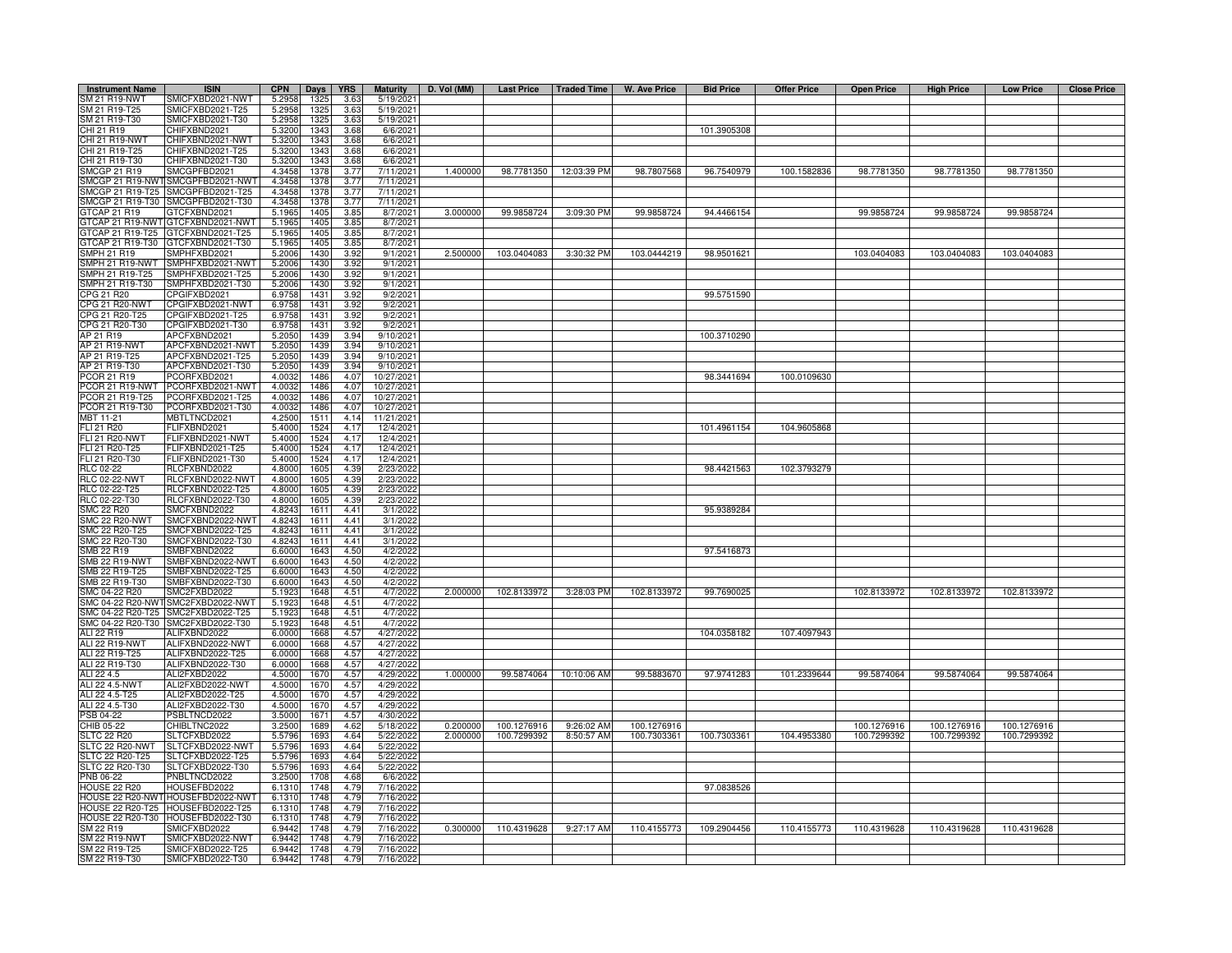| <b>Instrument Name</b>                 | <b>ISIN</b>                             | <b>CPN</b>       | Days         | <b>YRS</b>    | <b>Maturity</b>        | D. Vol (MM) |             |             | Last Price   Traded Time   W. Ave Price | <b>Bid Price</b> | <b>Offer Price</b> | <b>Open Price</b> | <b>High Price</b> | <b>Low Price</b> | <b>Close Price</b> |
|----------------------------------------|-----------------------------------------|------------------|--------------|---------------|------------------------|-------------|-------------|-------------|-----------------------------------------|------------------|--------------------|-------------------|-------------------|------------------|--------------------|
| SM 21 R19-NWT                          | SMICFXBD2021-NWT                        | 5.2958           | 1325         | 3.63          | 5/19/2021              |             |             |             |                                         |                  |                    |                   |                   |                  |                    |
| SM 21 R19-T25                          | SMICFXBD2021-T25                        | 5.2958           | 1325         | 3.63          | 5/19/202               |             |             |             |                                         |                  |                    |                   |                   |                  |                    |
| SM 21 R19-T30                          | MICFXBD2021-T30                         | 5.2958           | 1325         | 3.63          | 5/19/2021              |             |             |             |                                         |                  |                    |                   |                   |                  |                    |
| CHI 21 R19                             | CHIFXBND2021                            | 5.3200           | 1343         | 3.68          | 6/6/2021               |             |             |             |                                         | 101.3905308      |                    |                   |                   |                  |                    |
| CHI 21 R19-NWT                         | CHIFXBND2021-NWT                        | 5.3200           | 1343         | 3.68          | 6/6/202                |             |             |             |                                         |                  |                    |                   |                   |                  |                    |
| CHI 21 R19-T25<br>CHI 21 R19-T30       | CHIFXBND2021-T25<br>CHIFXBND2021-T30    | 5.3200<br>5.3200 | 1343<br>1343 | 3.68<br>3.68  | 6/6/202<br>6/6/2021    |             |             |             |                                         |                  |                    |                   |                   |                  |                    |
| SMCGP 21 R19                           | SMCGPFBD2021                            | 4.3458           | 1378         | 3.77          | 7/11/2021              | 1.400000    | 98.7781350  | 12:03:39 PM | 98.7807568                              | 96.7540979       | 100.1582836        | 98.7781350        | 98.7781350        | 98.7781350       |                    |
| SMCGP 21 R19-NWT                       | SMCGPFBD2021-NWT                        | 4.3458           | 1378         | 3.77          | 7/11/2021              |             |             |             |                                         |                  |                    |                   |                   |                  |                    |
| SMCGP 21 R19-T25                       | SMCGPFBD2021-T25                        | 4.3458           | 1378         | 3.77          | 7/11/2021              |             |             |             |                                         |                  |                    |                   |                   |                  |                    |
|                                        | SMCGP 21 R19-T30 SMCGPFBD2021-T30       | 4.3458           | 1378         | 3.77          | 7/11/2021              |             |             |             |                                         |                  |                    |                   |                   |                  |                    |
| 3TCAP 21 R19                           | TCFXBND2021                             | 5.1965           | 1405         | 3.85          | 8/7/2021               | 3.000000    | 99.9858724  | 3:09:30 PM  | 99.9858724                              | 94.4466154       |                    | 99.9858724        | 99.9858724        | 99.9858724       |                    |
| GTCAP 21 R19-NWT                       | GTCFXBND2021-NWT                        | 5.1965           | 1405         | 3.85          | 8/7/2021               |             |             |             |                                         |                  |                    |                   |                   |                  |                    |
| GTCAP 21 R19-T25                       | GTCFXBND2021-T25                        | 5.1965           | 1405         | 3.85          | 8/7/2021               |             |             |             |                                         |                  |                    |                   |                   |                  |                    |
| GTCAP 21 R19-T30<br>SMPH 21 R19        | GTCFXBND2021-T30<br>SMPHFXBD2021        | 5.1965<br>5.2006 | 140<br>1430  | 3.85<br>3.92  | 8/7/2021<br>9/1/2021   | 2.500000    | 103.0404083 | 3:30:32 PM  | 103.0444219                             | 98.9501621       |                    | 103.0404083       | 103.0404083       | 103.0404083      |                    |
| SMPH 21 R19-NWT                        | MPHFXBD2021-NWT                         | 5.2006           | 143          | 3.92          | 9/1/202                |             |             |             |                                         |                  |                    |                   |                   |                  |                    |
| MPH 21 R19-T25                         | MPHFXBD2021-T25                         | 5.2006           | 1430         | 3.92          | 9/1/202                |             |             |             |                                         |                  |                    |                   |                   |                  |                    |
| MPH 21 R19-T30                         | MPHFXBD2021-T30                         | 5.2006           | 1430         | 3.92          | 9/1/202                |             |             |             |                                         |                  |                    |                   |                   |                  |                    |
| CPG 21 R20                             | CPGIFXBD2021                            | 6.9758           | 1431         | 3.92          | 9/2/202                |             |             |             |                                         | 99.5751590       |                    |                   |                   |                  |                    |
| CPG 21 R20-NWT                         | CPGIFXBD2021-NWT                        | 6.9758           | 1431         | 3.92          | 9/2/202                |             |             |             |                                         |                  |                    |                   |                   |                  |                    |
| CPG 21 R20-T25                         | CPGIFXBD2021-T25                        | 6.9758           | 1431         | 3.92          | 9/2/202                |             |             |             |                                         |                  |                    |                   |                   |                  |                    |
| CPG 21 R20-T30                         | CPGIFXBD2021-T30                        | 6.9758           | 1431         | 3.92          | 9/2/202                |             |             |             |                                         |                  |                    |                   |                   |                  |                    |
| AP 21 R19<br>AP 21 R19-NWT             | APCFXBND2021<br>APCFXBND2021-NWT        | 5.2050<br>5.2050 | 1439<br>1439 | 3.94<br>3.94  | 9/10/2021<br>9/10/202  |             |             |             |                                         | 100.3710290      |                    |                   |                   |                  |                    |
| AP 21 R19-T25                          | APCFXBND2021-T25                        | 5.2050           | 1439         | 3.94          | 9/10/202               |             |             |             |                                         |                  |                    |                   |                   |                  |                    |
| AP 21 R19-T30                          | APCFXBND2021-T30                        | 5.2050           | 1439         | 3.94          | 9/10/202               |             |             |             |                                         |                  |                    |                   |                   |                  |                    |
| PCOR 21 R19                            | PCORFXBD2021                            | 4.0032           | 1486         | 4.07          | 10/27/2021             |             |             |             |                                         | 98.3441694       | 100.0109630        |                   |                   |                  |                    |
| PCOR 21 R19-NWT                        | PCORFXBD2021-NWT                        | 4.0032           | 1486         | 4.07          | 10/27/202              |             |             |             |                                         |                  |                    |                   |                   |                  |                    |
| PCOR 21 R19-T25                        | PCORFXBD2021-T25                        | 4.0032           | 1486         | 4.07          | 10/27/2021             |             |             |             |                                         |                  |                    |                   |                   |                  |                    |
| PCOR 21 R19-T30                        | PCORFXBD2021-T30                        | 4.0032           | 1486         | 4.07          | 10/27/2021             |             |             |             |                                         |                  |                    |                   |                   |                  |                    |
| MBT 11-21                              | <b>MBTLTNCD2021</b>                     | 4.2500           | 1511         | 4.14          | 11/21/2021             |             |             |             |                                         |                  |                    |                   |                   |                  |                    |
| FLI 21 R20<br><b>FLI 21 R20-NWT</b>    | FLIFXBND2021<br><b>ELIFXBND2021-NWT</b> | 5.4000<br>5.4000 | 1524<br>1524 | 4.17<br>4.17  | 12/4/2021<br>12/4/2021 |             |             |             |                                         | 101.4961154      | 104.9605868        |                   |                   |                  |                    |
| FLI 21 R20-T25                         | -LIFXBND2021-T25                        | 5.4000           | 1524         | 4.17          | 12/4/2021              |             |             |             |                                         |                  |                    |                   |                   |                  |                    |
| FLI 21 R20-T30                         | -LIFXBND2021-T30                        | 5.4000           | 1524         | 4.17          | 12/4/2021              |             |             |             |                                         |                  |                    |                   |                   |                  |                    |
| RLC 02-22                              | RLCFXBND2022                            | 4.8000           | 1605         | 4.39          | 2/23/202               |             |             |             |                                         | 98.4421563       | 102.3793279        |                   |                   |                  |                    |
| <b>RLC 02-22-NWT</b>                   | RLCFXBND2022-NWT                        | 4.8000           | 1605         | 4.39          | 2/23/2022              |             |             |             |                                         |                  |                    |                   |                   |                  |                    |
| RLC 02-22-T25                          | RLCFXBND2022-T25                        | 4.8000           | 1605         | 4.39          | 2/23/2022              |             |             |             |                                         |                  |                    |                   |                   |                  |                    |
| RLC 02-22-T30                          | RLCFXBND2022-T30                        | 4.8000           | 1605         | 4.39          | 2/23/2022              |             |             |             |                                         |                  |                    |                   |                   |                  |                    |
| <b>SMC 22 R20</b>                      | SMCFXBND2022                            | 4.8243           | 1611         | 4.41          | 3/1/2022               |             |             |             |                                         | 95.9389284       |                    |                   |                   |                  |                    |
| <b>SMC 22 R20-NWT</b>                  | SMCFXBND2022-NWT                        | 4.8243<br>4.8243 | 1611         | 4.41<br>4.41  | 3/1/2022               |             |             |             |                                         |                  |                    |                   |                   |                  |                    |
| MC 22 R20-T25<br>MC 22 R20-T30         | MCFXBND2022-T25<br>MCFXBND2022-T30      | 4.8243           | 1611<br>1611 | 4.41          | 3/1/2022<br>3/1/202    |             |             |             |                                         |                  |                    |                   |                   |                  |                    |
| SMB 22 R19                             | SMBFXBND2022                            | 6.6000           | 1643         | 4.50          | 4/2/2022               |             |             |             |                                         | 97.5416873       |                    |                   |                   |                  |                    |
| SMB 22 R19-NWT                         | SMBFXBND2022-NWT                        | 6.6000           | 1643         | 4.50          | 4/2/2022               |             |             |             |                                         |                  |                    |                   |                   |                  |                    |
| SMB 22 R19-T25                         | SMBFXBND2022-T25                        | 6.6000           | 1643         | 4.50          | 4/2/2022               |             |             |             |                                         |                  |                    |                   |                   |                  |                    |
| SMB 22 R19-T30                         | MBFXBND2022-T30                         | 6.6000           | 1643         | 4.50          | 4/2/2022               |             |             |             |                                         |                  |                    |                   |                   |                  |                    |
| SMC 04-22 R20                          | MC2FXBD2022                             | 5.192            | 1648         | $4.5^{\circ}$ | 4/7/2022               | 2.000000    | 102.8133972 | 3:28:03 PM  | 102.8133972                             | 99.7690025       |                    | 102.8133972       | 102.8133972       | 102.8133972      |                    |
| SMC 04-22 R20-NW                       | SMC2FXBD2022-NWT                        | 5.1923           | 1648         | 4.51          | 4/7/2022               |             |             |             |                                         |                  |                    |                   |                   |                  |                    |
| SMC 04-22 R20-T25<br>SMC 04-22 R20-T30 | SMC2FXBD2022-T25                        | 5.1923           | 1648         | 4.51          | 4/7/2022               |             |             |             |                                         |                  |                    |                   |                   |                  |                    |
| ALI 22 R19                             | SMC2FXBD2022-T30<br>ALIFXBND2022        | 5.1923<br>6.0000 | 1648<br>1668 | 4.51<br>4.57  | 4/7/2022<br>4/27/2022  |             |             |             |                                         | 104.0358182      | 107.4097943        |                   |                   |                  |                    |
| ALI 22 R19-NWT                         | ALIFXBND2022-NWT                        | 6.0000           | 1668         | 4.57          | 4/27/2022              |             |             |             |                                         |                  |                    |                   |                   |                  |                    |
| ALI 22 R19-T25                         | ALIFXBND2022-T25                        | 6.0000           | 1668         | 4.57          | 4/27/202               |             |             |             |                                         |                  |                    |                   |                   |                  |                    |
| ALI 22 R19-T30                         | ALIFXBND2022-T30                        | 6.0000           | 1668         | 4.57          | 4/27/2022              |             |             |             |                                         |                  |                    |                   |                   |                  |                    |
| ALI 22 4.5                             | ALI2FXBD2022                            | 4.5000           | 1670         | 4.57          | 4/29/2022              | 1.000000    | 99.5874064  | 10:10:06 AM | 99.5883670                              | 97.9741283       | 101.2339644        | 99.5874064        | 99.5874064        | 99.5874064       |                    |
| ALI 22 4.5-NWT                         | ALI2FXBD2022-NWT                        | 4.5000           | 1670         | 4.57          | 4/29/2022              |             |             |             |                                         |                  |                    |                   |                   |                  |                    |
| ALI 22 4.5-T25                         | ALI2FXBD2022-T25                        | 4.5000           | 1670         | 4.57          | 4/29/2022              |             |             |             |                                         |                  |                    |                   |                   |                  |                    |
| ALI 22 4.5-T30<br>PSB 04-22            | ALI2FXBD2022-T30<br>PSBLTNCD2022        | 4.5000<br>3.5000 | 1670<br>1671 | 4.57<br>4.57  | 4/29/2022<br>4/30/2022 |             |             |             |                                         |                  |                    |                   |                   |                  |                    |
| CHIB 05-22                             | CHIBLTNC2022                            | 3.2500           | 1689         | 4.62          | 5/18/2022              | 0.200000    | 100.1276916 | 9:26:02 AM  | 100.1276916                             |                  |                    | 100.1276916       | 100.1276916       | 100.1276916      |                    |
| SLTC 22 R20                            | SLTCFXBD2022                            | 5.5796           | 169          | 4.64          | 5/22/2022              | 2.000000    | 100.7299392 | 8:50:57 AM  | 100.7303361                             | 100.7303361      | 104.4953380        | 100.7299392       | 100.7299392       | 100.7299392      |                    |
| LTC 22 R20-NWT                         | SLTCFXBD2022-NWT                        | 5.5796           | 169          | 4.64          | 5/22/2022              |             |             |             |                                         |                  |                    |                   |                   |                  |                    |
| SLTC 22 R20-T25                        | SLTCFXBD2022-T25                        | 5.5796           | 1693         | 4.64          | 5/22/2022              |             |             |             |                                         |                  |                    |                   |                   |                  |                    |
| SLTC 22 R20-T30                        | SLTCFXBD2022-T30                        | 5.5796           | 1693         | 4.64          | 5/22/2022              |             |             |             |                                         |                  |                    |                   |                   |                  |                    |
| PNB 06-22                              | PNBLTNCD2022                            | 3.2500           | 1708         | 4.68          | 6/6/2022               |             |             |             |                                         |                  |                    |                   |                   |                  |                    |
| HOUSE 22 R20<br>HOUSE 22 R20-NW        | HOUSEFBD2022<br>HOUSEFBD2022-NWT        | 6.1310<br>6.1310 | 1748<br>1748 | 4.79<br>4.79  | 7/16/2022<br>7/16/2022 |             |             |             |                                         | 97.0838526       |                    |                   |                   |                  |                    |
| <b>HOUSE 22 R20-T25</b>                | HOUSEFBD2022-T25                        | 6.1310           | 1748         | 4.79          | 7/16/202               |             |             |             |                                         |                  |                    |                   |                   |                  |                    |
| <b>HOUSE 22 R20-T30</b>                | HOUSEFBD2022-T30                        | 6.1310           | 1748         | 4.79          | 7/16/2022              |             |             |             |                                         |                  |                    |                   |                   |                  |                    |
| SM 22 R19                              | <b>SMICFXBD2022</b>                     | 6.9442           | 1748         | 4.79          | 7/16/2022              | 0.300000    | 110.4319628 | 9:27:17 AM  | 110.4155773                             | 109.2904456      | 110.4155773        | 110.4319628       | 110.4319628       | 110.4319628      |                    |
| SM 22 R19-NWT                          | SMICFXBD2022-NWT                        | 6.9442           | 1748         | 4.79          | 7/16/2022              |             |             |             |                                         |                  |                    |                   |                   |                  |                    |
| SM 22 R19-T25                          | SMICFXBD2022-T25                        | 6.9442           | 1748         | 4.79          | 7/16/202               |             |             |             |                                         |                  |                    |                   |                   |                  |                    |
| SM 22 R19-T30                          | SMICFXBD2022-T30                        | 6.9442           | 1748         | 4.79          | 7/16/2022              |             |             |             |                                         |                  |                    |                   |                   |                  |                    |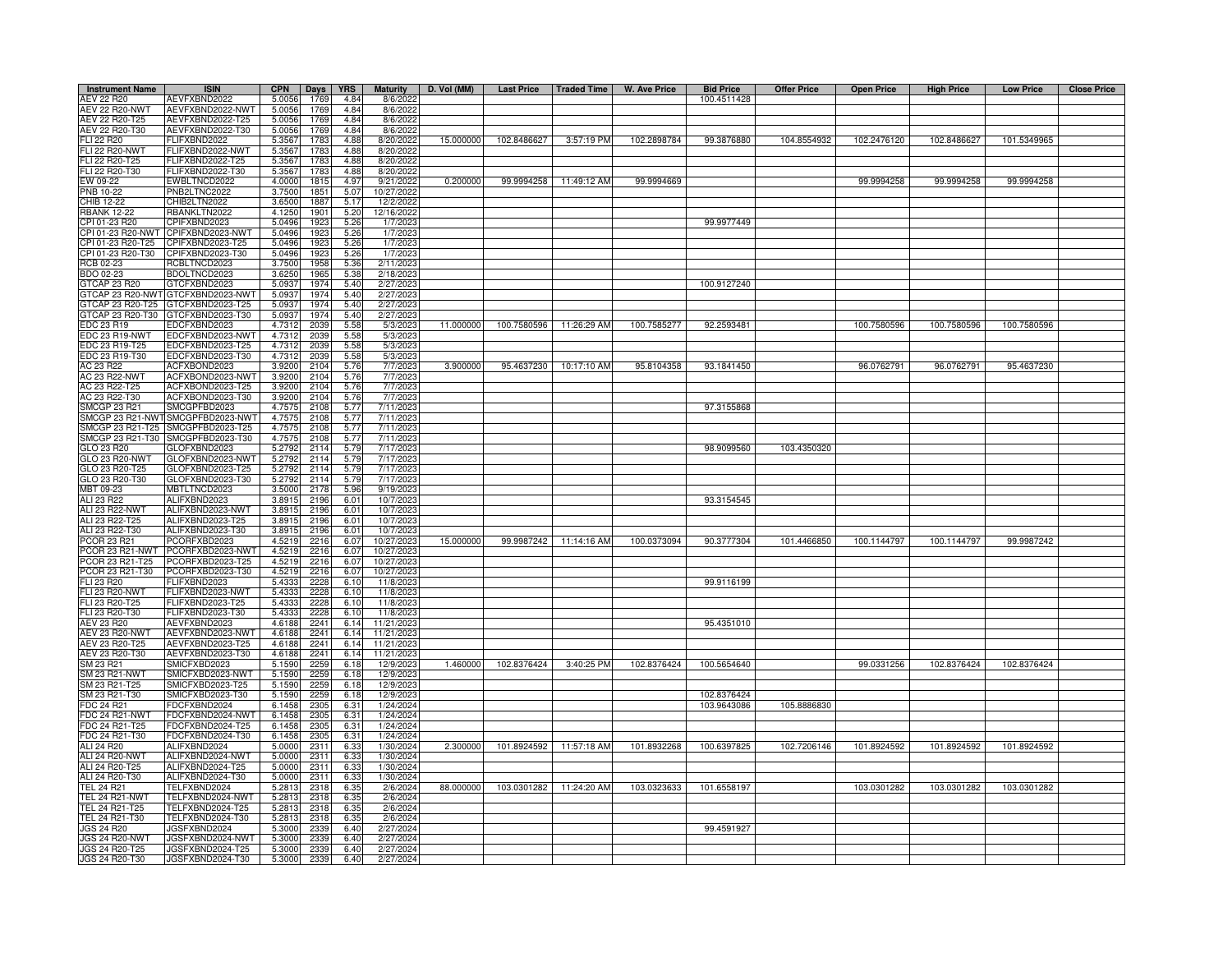| <b>Instrument Name</b>                | <b>ISIN</b>                                                            | <b>CPN</b>       | Days         | <b>YRS</b>       | <b>Maturity</b>       | D. Vol (MM) | <b>Last Price</b> | Traded Time              | W. Ave Price | <b>Bid Price</b> | <b>Offer Price</b> | <b>Open Price</b> | <b>High Price</b> | <b>Low Price</b> | <b>Close Price</b> |
|---------------------------------------|------------------------------------------------------------------------|------------------|--------------|------------------|-----------------------|-------------|-------------------|--------------------------|--------------|------------------|--------------------|-------------------|-------------------|------------------|--------------------|
| AEV 22 R20                            | AEVFXBND2022                                                           | 5.0056           | 1769         | 4.84             | 8/6/202               |             |                   |                          |              | 100.4511428      |                    |                   |                   |                  |                    |
| <b>AEV 22 R20-NWT</b>                 | AEVFXBND2022-NWT                                                       | 5.0056           | 1769         | 4.84             | 8/6/202               |             |                   |                          |              |                  |                    |                   |                   |                  |                    |
| AEV 22 R20-T25                        | AEVFXBND2022-T25                                                       | 5.0056           | 1769         | 4.84             | 8/6/2022              |             |                   |                          |              |                  |                    |                   |                   |                  |                    |
| AEV 22 R20-T30<br>FLI 22 R20          | AEVFXBND2022-T30<br>FLIFXBND2022                                       | 5.0056<br>5.3567 | 1769<br>1783 | 4.84<br>4.88     | 8/6/2022<br>8/20/2022 | 15.000000   | 102.8486627       | 3:57:19 PM               | 102.2898784  | 99.3876880       | 104.8554932        | 102.2476120       | 102.8486627       | 101.5349965      |                    |
| FLI 22 R20-NWT                        | FLIFXBND2022-NWT                                                       | 5.3567           | 1783         | 4.88             | 8/20/2022             |             |                   |                          |              |                  |                    |                   |                   |                  |                    |
| FLI 22 R20-T25                        | FLIFXBND2022-T25                                                       | 5.3567           | 1783         | 4.88             | 8/20/202              |             |                   |                          |              |                  |                    |                   |                   |                  |                    |
| FLI 22 R20-T30                        | FLIFXBND2022-T30                                                       | 5.3567           | 1783         | 4.88             | 8/20/202              |             |                   |                          |              |                  |                    |                   |                   |                  |                    |
| EW 09-22                              | EWBLTNCD2022                                                           | 4.0000           | 1815         | 4.97             | 9/21/202              | 0.200000    | 99.9994258        | 11:49:12 AM              | 99.9994669   |                  |                    | 99.9994258        | 99.9994258        | 99.9994258       |                    |
| PNB 10-22                             | PNB2LTNC2022                                                           | 3.7500           | 1851         | 5.07             | 10/27/202             |             |                   |                          |              |                  |                    |                   |                   |                  |                    |
| <b>CHIB 12-22</b>                     | CHIB2LTN2022                                                           | 3.6500           | 1887         | 5.17             | 12/2/2022             |             |                   |                          |              |                  |                    |                   |                   |                  |                    |
| <b>BANK 12-22</b><br>CPI 01-23 R20    | RBANKLTN2022<br>CPIFXBND2023                                           | 4.1250<br>5.0496 | 1901<br>192  | 5.20<br>5.26     | 12/16/202<br>1/7/202  |             |                   |                          |              | 99.9977449       |                    |                   |                   |                  |                    |
| PI 01-23 R20-NWT                      | CPIFXBND2023-NWT                                                       | 5.0496           | 192          | 5.26             | 1/7/202               |             |                   |                          |              |                  |                    |                   |                   |                  |                    |
| CPI 01-23 R20-T25                     | CPIFXBND2023-T25                                                       | 5.0496           | 1923         | 5.26             | 1/7/202               |             |                   |                          |              |                  |                    |                   |                   |                  |                    |
| CPI 01-23 R20-T30                     | CPIFXBND2023-T30                                                       | 5.0496           | 1923         | 5.26             | 1/7/202               |             |                   |                          |              |                  |                    |                   |                   |                  |                    |
| RCB 02-23                             | RCBLTNCD2023                                                           | 3.7500           | 1958         | 5.36             | 2/11/202              |             |                   |                          |              |                  |                    |                   |                   |                  |                    |
| BDO 02-23                             | BDOLTNCD2023                                                           | 3.6250           | 1965         | 5.38             | 2/18/202              |             |                   |                          |              |                  |                    |                   |                   |                  |                    |
| <b>STCAP 23 R20</b>                   | GTCFXBND2023                                                           | 5.0937           | 1974         | 5.40             | 2/27/202              |             |                   |                          |              | 100.9127240      |                    |                   |                   |                  |                    |
|                                       | 3TCAP 23 R20-NWT GTCFXBND2023-NWT                                      | 5.0937<br>5.0937 | 1974<br>1974 | 5.40<br>5.40     | 2/27/202              |             |                   |                          |              |                  |                    |                   |                   |                  |                    |
|                                       | STCAP 23 R20-T25 GTCFXBND2023-T25<br>GTCAP 23 R20-T30 GTCFXBND2023-T30 | 5.0937           | 1974         | 5.40             | 2/27/202<br>2/27/202  |             |                   |                          |              |                  |                    |                   |                   |                  |                    |
| EDC 23 R19                            | EDCFXBND2023                                                           | 4.7312           | 2039         | 5.58             | 5/3/202               | 11.000000   |                   | 100.7580596 11:26:29 AM  | 100.7585277  | 92.2593481       |                    | 100.7580596       | 100.7580596       | 100.7580596      |                    |
| EDC 23 R19-NWT                        | EDCFXBND2023-NWT                                                       | 4.7312           | 2039         | 5.5 <sub>i</sub> | 5/3/202               |             |                   |                          |              |                  |                    |                   |                   |                  |                    |
| EDC 23 R19-T25                        | EDCFXBND2023-T25                                                       | 4.7312           | 2039         | 5.58             | 5/3/202               |             |                   |                          |              |                  |                    |                   |                   |                  |                    |
| EDC 23 R19-T30                        | EDCFXBND2023-T30                                                       | 4.7312           | 2039         | 5.58             | 5/3/202               |             |                   |                          |              |                  |                    |                   |                   |                  |                    |
| AC 23 R22                             | ACFXBOND2023                                                           | 3.9200           | 2104         | 5.76             | 7/7/202               | 3.900000    |                   | 95.4637230 10:17:10 AM   | 95.8104358   | 93.1841450       |                    | 96.0762791        | 96.0762791        | 95.4637230       |                    |
| AC 23 R22-NWT                         | ACFXBOND2023-NWT                                                       | 3.9200           | 2104         | 5.76             | 7/7/202               |             |                   |                          |              |                  |                    |                   |                   |                  |                    |
| AC 23 R22-T25                         | ACFXBOND2023-T25                                                       | 3.9200           | 2104         | 5.76             | 7/7/202               |             |                   |                          |              |                  |                    |                   |                   |                  |                    |
| AC 23 R22-T30<br><b>SMCGP 23 R21</b>  | ACFXBOND2023-T30<br>SMCGPFBD2023                                       | 3.9200<br>4.7575 | 2104<br>2108 | 5.76<br>5.77     | 7/7/202<br>7/11/202   |             |                   |                          |              | 97.3155868       |                    |                   |                   |                  |                    |
| SMCGP 23 R21-NWT                      | SMCGPFBD2023-NWT                                                       | 4.7575           | 2108         | 5.77             | 7/11/202              |             |                   |                          |              |                  |                    |                   |                   |                  |                    |
| MCGP 23 R21-T25                       | SMCGPFBD2023-T25                                                       | 4.7575           | 2108         | 5.77             | 7/11/202              |             |                   |                          |              |                  |                    |                   |                   |                  |                    |
| MCGP 23 R21-T30                       | SMCGPFBD2023-T30                                                       | 4.7575           | 2108         | 5.77             | 7/11/202              |             |                   |                          |              |                  |                    |                   |                   |                  |                    |
| GLO 23 R20                            | GLOFXBND2023                                                           | 5.2792           | 2114         | 5.79             | 7/17/202              |             |                   |                          |              | 98.9099560       | 103.4350320        |                   |                   |                  |                    |
| GLO 23 R20-NWT                        | GLOFXBND2023-NWT                                                       | 5.2792           | 2114         | 5.79             | 7/17/202              |             |                   |                          |              |                  |                    |                   |                   |                  |                    |
| GLO 23 R20-T25                        | GLOFXBND2023-T25                                                       | 5.2792           | 2114         | 5.79             | 7/17/202              |             |                   |                          |              |                  |                    |                   |                   |                  |                    |
| GLO 23 R20-T30                        | GLOFXBND2023-T30                                                       | 5.2792           | 2114         | 5.79             | 7/17/202              |             |                   |                          |              |                  |                    |                   |                   |                  |                    |
| MBT 09-23<br>ALI 23 R22               | MBTLTNCD2023<br>ALIFXBND2023                                           | 3.500<br>3.8915  | 2178         | 5.96             | 9/19/202<br>10/7/2023 |             |                   |                          |              | 93.3154545       |                    |                   |                   |                  |                    |
| ALI 23 R22-NWT                        | ALIFXBND2023-NWT                                                       | 3.8915           | 2196<br>2196 | 6.01<br>6.01     | 10/7/2023             |             |                   |                          |              |                  |                    |                   |                   |                  |                    |
| ALI 23 R22-T25                        | ALIFXBND2023-T25                                                       | 3.8915           | 2196         | 6.01             | 10/7/202              |             |                   |                          |              |                  |                    |                   |                   |                  |                    |
| ALI 23 R22-T30                        | ALIFXBND2023-T30                                                       | 3.8915           | 2196         | 6.01             | 10/7/2023             |             |                   |                          |              |                  |                    |                   |                   |                  |                    |
| PCOR 23 R21                           | PCORFXBD2023                                                           | 4.5219           | 2216         | 6.07             | 10/27/2023            | 15.000000   |                   | 99.9987242 11:14:16 AM   | 100.0373094  | 90.3777304       | 101.4466850        | 100.1144797       | 100.1144797       | 99.9987242       |                    |
| PCOR 23 R21-NWT                       | PCORFXBD2023-NWT                                                       | 4.5219           | 2216         | 6.07             | 10/27/2023            |             |                   |                          |              |                  |                    |                   |                   |                  |                    |
| COR 23 R21-T25                        | PCORFXBD2023-T25                                                       | 4.5219           | 2216         | 6.07             | 10/27/202             |             |                   |                          |              |                  |                    |                   |                   |                  |                    |
| COR 23 R21-T30                        | PCORFXBD2023-T30                                                       | 4.5219           | 2216         | 6.07             | 10/27/202             |             |                   |                          |              |                  |                    |                   |                   |                  |                    |
| <b>LI 23 R20</b><br>LI 23 R20-NWT     | FLIFXBND2023                                                           | 5.4333<br>5.4333 | 2228         | 6.10             | 11/8/202              |             |                   |                          |              | 99.9116199       |                    |                   |                   |                  |                    |
| LI 23 R20-T25                         | FLIFXBND2023-NWT<br>FLIFXBND2023-T25                                   | 5.4333           | 2228<br>2228 | 6.10<br>6.10     | 11/8/202<br>11/8/202  |             |                   |                          |              |                  |                    |                   |                   |                  |                    |
| LI 23 R20-T30                         | FLIFXBND2023-T30                                                       | 5.4333           | 2228         | 6.10             | 11/8/202              |             |                   |                          |              |                  |                    |                   |                   |                  |                    |
| AEV 23 R20                            | AEVFXBND2023                                                           | 4.6188           | 2241         | 6.14             | 11/21/202             |             |                   |                          |              | 95.4351010       |                    |                   |                   |                  |                    |
| <b>AEV 23 R20-NWT</b>                 | AEVFXBND2023-NWT                                                       | 4.6188           | 2241         | 6.14             | 11/21/202             |             |                   |                          |              |                  |                    |                   |                   |                  |                    |
| AEV 23 R20-T25                        | AEVFXBND2023-T25                                                       | 4.6188           | 2241         | 6.14             | 11/21/202             |             |                   |                          |              |                  |                    |                   |                   |                  |                    |
| AEV 23 R20-T30                        | AEVFXBND2023-T30                                                       | 4.6188           | 2241         | 6.14             | 11/21/202             |             |                   |                          |              |                  |                    |                   |                   |                  |                    |
| SM 23 R21                             | SMICFXBD2023                                                           | 5.1590           | 2259         | 6.18             | 12/9/202              | 1.460000    | 102.8376424       | 3:40:25 PM               | 102.8376424  | 100.5654640      |                    | 99.0331256        | 102.8376424       | 102.8376424      |                    |
| <b>SM 23 R21-NWT</b><br>SM 23 R21-T25 | SMICFXBD2023-NWT<br>SMICFXBD2023-T25                                   | 5.1590<br>5.1590 | 2259<br>2259 | 6.18<br>6.18     | 12/9/202<br>12/9/202  |             |                   |                          |              |                  |                    |                   |                   |                  |                    |
| SM 23 R21-T30                         | SMICFXBD2023-T30                                                       | 5.1590           | 2259         | 6.18             | 12/9/202              |             |                   |                          |              | 102.8376424      |                    |                   |                   |                  |                    |
| FDC 24 R21                            | FDCFXBND2024                                                           | 6.1458           | 2305         | 6.31             | 1/24/2024             |             |                   |                          |              | 103.9643086      | 105.8886830        |                   |                   |                  |                    |
| <b>FDC 24 R21-NWT</b>                 | FDCFXBND2024-NWT                                                       | 6.1458           | 2305         | 6.31             | 1/24/2024             |             |                   |                          |              |                  |                    |                   |                   |                  |                    |
| FDC 24 R21-T25                        | FDCFXBND2024-T25                                                       | 6.1458           | 2305         | 6.31             | 1/24/2024             |             |                   |                          |              |                  |                    |                   |                   |                  |                    |
| FDC 24 R21-T30                        | FDCFXBND2024-T30                                                       | 6.1458           | 2305         | 6.31             | 1/24/2024             |             |                   |                          |              |                  |                    |                   |                   |                  |                    |
| ALI 24 R20                            | ALIFXBND2024                                                           | 5.0000           | 2311         | 6.33             | 1/30/2024             | 2.300000    |                   | 101.8924592  11:57:18 AM | 101.8932268  | 100.6397825      | 102.7206146        | 101.8924592       | 101.8924592       | 101.8924592      |                    |
| <b>ALI 24 R20-NWT</b>                 | ALIFXBND2024-NWT                                                       | 5.0000           | 2311         | 6.33             | 1/30/2024             |             |                   |                          |              |                  |                    |                   |                   |                  |                    |
| ALI 24 R20-T25                        | ALIFXBND2024-T25                                                       | 5.0000           | 2311         | 6.33             | 1/30/2024             |             |                   |                          |              |                  |                    |                   |                   |                  |                    |
| ALI 24 R20-T30<br><b>TEL 24 R21</b>   | ALIFXBND2024-T30<br>TELFXBND2024                                       | 5.0000<br>5.2813 | 2311<br>2318 | 6.33<br>6.35     | 1/30/2024<br>2/6/2024 | 88.000000   |                   | 103.0301282  11:24:20 AM | 103.0323633  | 101.6558197      |                    | 103.0301282       | 103.0301282       | 103.0301282      |                    |
| <b>TEL 24 R21-NWT</b>                 | TELFXBND2024-NWT                                                       | 5.2813           | 2318         | 6.35             | 2/6/2024              |             |                   |                          |              |                  |                    |                   |                   |                  |                    |
| TEL 24 R21-T25                        | TELFXBND2024-T25                                                       | 5.2813           | 2318         | 6.35             | 2/6/2024              |             |                   |                          |              |                  |                    |                   |                   |                  |                    |
| TEL 24 R21-T30                        | TELFXBND2024-T30                                                       | 5.2813           | 2318         | 6.35             | 2/6/2024              |             |                   |                          |              |                  |                    |                   |                   |                  |                    |
| <b>JGS 24 R20</b>                     | JGSFXBND2024                                                           | 5.300            | 2339         | 6.40             | 2/27/2024             |             |                   |                          |              | 99.4591927       |                    |                   |                   |                  |                    |
| <b>JGS 24 R20-NWT</b>                 | JGSFXBND2024-NWT                                                       | 5.3000           | 2339         | 6.40             | 2/27/2024             |             |                   |                          |              |                  |                    |                   |                   |                  |                    |
| JGS 24 R20-T25                        | JGSFXBND2024-T25                                                       | 5.300            | 2339         | 6.40             | 2/27/202              |             |                   |                          |              |                  |                    |                   |                   |                  |                    |
| JGS 24 R20-T30                        | JGSFXBND2024-T30                                                       | 5.3000           | 2339         | 6.40             | 2/27/2024             |             |                   |                          |              |                  |                    |                   |                   |                  |                    |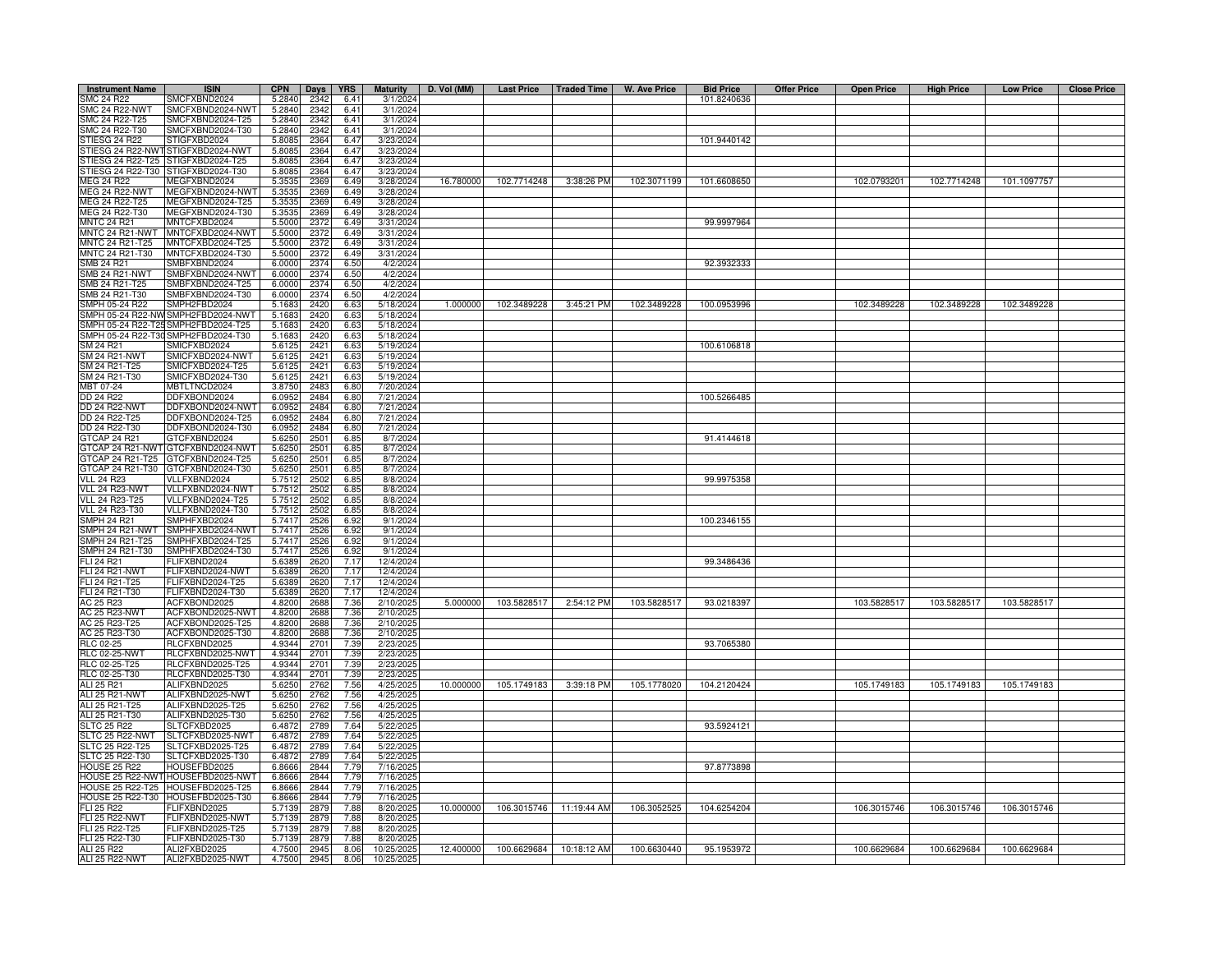| <b>Instrument Name</b>                                                              | <b>ISIN</b>                          | <b>CPN</b>       | Days         | <b>YRS</b>   | <b>Maturity</b>        | D. Vol (MM) | Last Price   Traded Time |                         | W. Ave Price | <b>Bid Price</b> | <b>Offer Price</b> | <b>Open Price</b> | <b>High Price</b> | <b>Low Price</b> | <b>Close Price</b> |
|-------------------------------------------------------------------------------------|--------------------------------------|------------------|--------------|--------------|------------------------|-------------|--------------------------|-------------------------|--------------|------------------|--------------------|-------------------|-------------------|------------------|--------------------|
| SMC 24 R22                                                                          | SMCFXBND2024                         | 5.2840           | 2342         | 6.41         | 3/1/2024               |             |                          |                         |              | 101.8240636      |                    |                   |                   |                  |                    |
| <b>SMC 24 R22-NWT</b>                                                               | SMCFXBND2024-NWT                     | 5.2840           | 2342         | 6.41         | 3/1/2024               |             |                          |                         |              |                  |                    |                   |                   |                  |                    |
| SMC 24 R22-T25                                                                      | SMCFXBND2024-T25                     | 5.2840           | 2342         | 6.41         | 3/1/2024               |             |                          |                         |              |                  |                    |                   |                   |                  |                    |
| SMC 24 R22-T30                                                                      | SMCFXBND2024-T30                     | 5.2840           | 2342         | 6.41         | 3/1/2024               |             |                          |                         |              |                  |                    |                   |                   |                  |                    |
| STIESG 24 R22                                                                       | STIGFXBD2024                         | 5.8085           | 2364         | 6.47         | 3/23/2024              |             |                          |                         |              | 101.9440142      |                    |                   |                   |                  |                    |
| TIESG 24 R22-NWT<br>TIESG 24 R22-T25                                                | STIGFXBD2024-NWT<br>STIGFXBD2024-T25 | 5.8085<br>5.808  | 2364<br>2364 | 6.47<br>6.47 | 3/23/2024<br>3/23/2024 |             |                          |                         |              |                  |                    |                   |                   |                  |                    |
| STIESG 24 R22-T30                                                                   | STIGFXBD2024-T30                     | 5.808            | 2364         | 6.47         | 3/23/2024              |             |                          |                         |              |                  |                    |                   |                   |                  |                    |
| MEG 24 R22                                                                          | MEGFXBND2024                         | 5.353            | 2369         | 6.49         | 3/28/2024              | 16.780000   | 102.7714248              | 3:38:26 PM              | 102.3071199  | 101.6608650      |                    | 102.0793201       | 102.7714248       | 101.1097757      |                    |
| <b>MEG 24 R22-NWT</b>                                                               | MEGFXBND2024-NW                      | 5.353            | 2369         | 6.49         | 3/28/2024              |             |                          |                         |              |                  |                    |                   |                   |                  |                    |
| MEG 24 R22-T25                                                                      | MEGFXBND2024-T25                     | 5.353            | 2369         | 6.49         | 3/28/2024              |             |                          |                         |              |                  |                    |                   |                   |                  |                    |
| MEG 24 R22-T30                                                                      | MEGFXBND2024-T30                     | 5.353            | 2369         | 6.49         | 3/28/2024              |             |                          |                         |              |                  |                    |                   |                   |                  |                    |
| <b>MNTC 24 R21</b>                                                                  | MNTCFXBD2024                         | 5.5000           | 2372         | 6.49         | 3/31/2024              |             |                          |                         |              | 99.9997964       |                    |                   |                   |                  |                    |
| MNTC 24 R21-NWT                                                                     | MNTCFXBD2024-NWT                     | 5.5000           | 2372         | 6.49         | 3/31/2024              |             |                          |                         |              |                  |                    |                   |                   |                  |                    |
| <b>INTC 24 R21-T25</b>                                                              | MNTCFXBD2024-T25                     | 5.5000           | 2372         | 6.49         | 3/31/2024              |             |                          |                         |              |                  |                    |                   |                   |                  |                    |
| MNTC 24 R21-T30<br>SMB 24 R21                                                       | MNTCFXBD2024-T30<br>SMBFXBND2024     | 5.5000<br>6.0000 | 2372<br>2374 | 6.49<br>6.50 | 3/31/2024<br>4/2/2024  |             |                          |                         |              | 92.3932333       |                    |                   |                   |                  |                    |
| MB 24 R21-NWT                                                                       | SMBFXBND2024-NWT                     | 6.0000           | 2374         | 6.5C         | 4/2/2024               |             |                          |                         |              |                  |                    |                   |                   |                  |                    |
| MB 24 R21-T25                                                                       | SMBFXBND2024-T25                     | 6.0000           | 2374         | 6.5C         | 4/2/2024               |             |                          |                         |              |                  |                    |                   |                   |                  |                    |
| MB 24 R21-T30                                                                       | SMBFXBND2024-T30                     | 6.0000           | 2374         | 6.50         | 4/2/2024               |             |                          |                         |              |                  |                    |                   |                   |                  |                    |
| MPH 05-24 R22                                                                       | SMPH2FBD2024                         | 5.168            | 2420         | 6.63         | 5/18/2024              | 1.000000    | 102.3489228              | 3:45:21 PM              | 102.3489228  | 100.0953996      |                    | 102.3489228       | 102.3489228       | 102.3489228      |                    |
| MPH 05-24 R22-NV                                                                    | SMPH2FBD2024-NWT                     | 5.168            | 2420         | 6.63         | 5/18/2024              |             |                          |                         |              |                  |                    |                   |                   |                  |                    |
| MPH 05-24 R22-T2                                                                    | SMPH2FBD2024-T25                     | 5.1683           | 2420         | 6.63         | 5/18/2024              |             |                          |                         |              |                  |                    |                   |                   |                  |                    |
| MPH 05-24 R22-T3                                                                    | SMPH2FBD2024-T30                     | 5.168            | 2420         | 6.63         | 5/18/2024              |             |                          |                         |              |                  |                    |                   |                   |                  |                    |
| SM 24 R21                                                                           | SMICFXBD2024                         | 5.6125           | 2421<br>2421 | 6.63         | 5/19/2024              |             |                          |                         |              | 100.6106818      |                    |                   |                   |                  |                    |
| <b>SM 24 R21-NWT</b><br>SM 24 R21-T25                                               | SMICFXBD2024-NWT<br>SMICFXBD2024-T25 | 5.6125<br>5.612  | 2421         | 6.63<br>6.63 | 5/19/2024<br>5/19/2024 |             |                          |                         |              |                  |                    |                   |                   |                  |                    |
| SM 24 R21-T30                                                                       | SMICFXBD2024-T30                     | 5.612            | 2421         | 6.63         | 5/19/2024              |             |                          |                         |              |                  |                    |                   |                   |                  |                    |
| MBT 07-24                                                                           | MBTLTNCD2024                         | 3.8750           | 2483         | 6.80         | 7/20/2024              |             |                          |                         |              |                  |                    |                   |                   |                  |                    |
| <b>DD 24 R22</b>                                                                    | DDFXBOND2024                         | 6.095            | 2484         | 6.80         | 7/21/2024              |             |                          |                         |              | 100.5266485      |                    |                   |                   |                  |                    |
| <b>DD 24 R22-NWT</b>                                                                | DDFXBOND2024-NWT                     | 6.095            | 2484         | 6.80         | 7/21/2024              |             |                          |                         |              |                  |                    |                   |                   |                  |                    |
| DD 24 R22-T25                                                                       | DDFXBOND2024-T25                     | 6.095            | 2484         | 6.80         | 7/21/2024              |             |                          |                         |              |                  |                    |                   |                   |                  |                    |
| DD 24 R22-T30                                                                       | DDFXBOND2024-T30                     | 6.095            | 2484         | 6.80         | 7/21/2024              |             |                          |                         |              |                  |                    |                   |                   |                  |                    |
| GTCAP 24 R21                                                                        | GTCFXBND2024                         | 5.6250           | 2501         | 6.85         | 8/7/2024               |             |                          |                         |              | 91.4144618       |                    |                   |                   |                  |                    |
| GTCAP 24 R21-NWT<br>GTCAP 24 R21-T25                                                | GTCFXBND2024-NWT<br>GTCFXBND2024-T25 | 5.6250<br>5.6250 | 2501<br>2501 | 6.85<br>6.85 | 8/7/2024<br>8/7/2024   |             |                          |                         |              |                  |                    |                   |                   |                  |                    |
| GTCAP 24 R21-T30                                                                    | GTCFXBND2024-T30                     | 5.625            | 2501         | 6.85         | 8/7/2024               |             |                          |                         |              |                  |                    |                   |                   |                  |                    |
| <b>VLL 24 R23</b>                                                                   | VLLFXBND2024                         | 5.7512           | 2502         | 6.85         | 8/8/2024               |             |                          |                         |              | 99.9975358       |                    |                   |                   |                  |                    |
| VLL 24 R23-NWT                                                                      | VLLFXBND2024-NWT                     | 5.751            | 2502         | 6.85         | 8/8/2024               |             |                          |                         |              |                  |                    |                   |                   |                  |                    |
| <b>VLL 24 R23-T25</b>                                                               | VLLFXBND2024-T25                     | 5.7512           | 2502         | 6.85         | 8/8/2024               |             |                          |                         |              |                  |                    |                   |                   |                  |                    |
| <b>VLL 24 R23-T30</b>                                                               | VLLFXBND2024-T30                     | 5.7512           | 2502         | 6.85         | 8/8/2024               |             |                          |                         |              |                  |                    |                   |                   |                  |                    |
| MPH 24 R21                                                                          | SMPHFXBD2024                         | 5.741            | 2526         | 6.92         | 9/1/2024               |             |                          |                         |              | 100.2346155      |                    |                   |                   |                  |                    |
| MPH 24 R21-NWT                                                                      | SMPHFXBD2024-NWT                     | 5.741<br>5.741   | 2526         | 6.92<br>6.92 | 9/1/2024               |             |                          |                         |              |                  |                    |                   |                   |                  |                    |
| MPH 24 R21-T25<br>MPH 24 R21-T30                                                    | SMPHFXBD2024-T25<br>SMPHFXBD2024-T30 | 5.741            | 2526<br>2526 | 6.92         | 9/1/2024<br>9/1/2024   |             |                          |                         |              |                  |                    |                   |                   |                  |                    |
| LI 24 R21                                                                           | FLIFXBND2024                         | 5.638            | 2620         | 7.17         | 12/4/2024              |             |                          |                         |              | 99.3486436       |                    |                   |                   |                  |                    |
| LI 24 R21-NWT                                                                       | FLIFXBND2024-NWT                     | 5.6389           | 2620         | 7.17         | 12/4/2024              |             |                          |                         |              |                  |                    |                   |                   |                  |                    |
| FLI 24 R21-T25                                                                      | FLIFXBND2024-T25                     | 5.6389           | 2620         | 7.17         | 12/4/2024              |             |                          |                         |              |                  |                    |                   |                   |                  |                    |
| FLI 24 R21-T30                                                                      | FLIFXBND2024-T30                     | 5.6389           | 2620         | 7.17         | 12/4/2024              |             |                          |                         |              |                  |                    |                   |                   |                  |                    |
| AC 25 R23                                                                           | ACFXBOND2025                         | 4.8200           | 2688         | 7.36         | 2/10/2025              | 5.000000    | 103.5828517              | 2:54:12 PM              | 103.5828517  | 93.0218397       |                    | 103.5828517       | 103.5828517       | 103.5828517      |                    |
| <b>AC 25 R23-NWT</b>                                                                | ACFXBOND2025-NWT                     | 4.8200           | 2688         | 7.36         | 2/10/2025              |             |                          |                         |              |                  |                    |                   |                   |                  |                    |
| AC 25 R23-T25                                                                       | ACFXBOND2025-T25                     | 4.8200           | 2688         | 7.36         | 2/10/2025              |             |                          |                         |              |                  |                    |                   |                   |                  |                    |
| AC 25 R23-T30<br><b>RLC 02-25</b>                                                   | ACFXBOND2025-T30                     | 4.8200           | 2688<br>2701 | 7.36         | 2/10/2025              |             |                          |                         |              | 93.7065380       |                    |                   |                   |                  |                    |
| <b>RLC 02-25-NWT</b>                                                                | RLCFXBND2025<br>RLCFXBND2025-NWT     | 4.9344<br>4.9344 | 2701         | 7.39<br>7.39 | 2/23/2025<br>2/23/2025 |             |                          |                         |              |                  |                    |                   |                   |                  |                    |
| RLC 02-25-T25                                                                       | RLCFXBND2025-T25                     | 4.9344           | 2701         | 7.39         | 2/23/2025              |             |                          |                         |              |                  |                    |                   |                   |                  |                    |
|                                                                                     | RLCFXBND2025-T30                     | 4.9344           | 2701         | 7.39         | 2/23/202               |             |                          |                         |              |                  |                    |                   |                   |                  |                    |
| RLC 02-25-T30<br>ALI 25 R21                                                         | ALIFXBND2025                         | 5.6250           | 2762         | 7.56         | 4/25/2025              | 10.000000   | 105.1749183              | 3:39:18 PM              | 105.1778020  | 104.2120424      |                    | 105.1749183       | 105.1749183       | 105.1749183      |                    |
| ALI 25 R21-NWT                                                                      | ALIFXBND2025-NWT                     | 5.6250           | 2762         | 7.56         | 4/25/2025              |             |                          |                         |              |                  |                    |                   |                   |                  |                    |
| ALI 25 R21-T25                                                                      | ALIFXBND2025-T25                     | 5.6250           | 2762         | 7.56         | 4/25/2025              |             |                          |                         |              |                  |                    |                   |                   |                  |                    |
| ALI 25 R21-T30                                                                      | ALIFXBND2025-T30                     | 5.6250           | 2762         | 7.56         | 4/25/2025              |             |                          |                         |              |                  |                    |                   |                   |                  |                    |
| SLTC 25 R22<br>SLTC 25 R22<br>SLTC 25 R22-NWT<br>SLTC 25 R22-T25<br>SLTC 25 R22-T30 | SLTCFXBD2025<br>SLTCFXBD2025-NWT     | 6.4872<br>6.4872 | 2789<br>2789 | 7.64<br>7.64 | 5/22/2025<br>5/22/2025 |             |                          |                         |              | 93.5924121       |                    |                   |                   |                  |                    |
|                                                                                     | SLTCFXBD2025-T25                     | 6.4872           | 2789         | 7.64         | 5/22/2025              |             |                          |                         |              |                  |                    |                   |                   |                  |                    |
|                                                                                     | SLTCFXBD2025-T30                     | 6.4872           | 2789         | 7.64         | 5/22/2025              |             |                          |                         |              |                  |                    |                   |                   |                  |                    |
| <b>HOUSE 25 R22</b>                                                                 | HOUSEFBD2025                         | 6.8666           | 2844         | 7.79         | 7/16/2025              |             |                          |                         |              | 97.8773898       |                    |                   |                   |                  |                    |
|                                                                                     | HOUSE 25 R22-NWT HOUSEFBD2025-NWT    | 6.8666           | 2844         | 7.79         | 7/16/2025              |             |                          |                         |              |                  |                    |                   |                   |                  |                    |
| <b>IOUSE 25 R22-T25</b>                                                             | HOUSEFBD2025-T25                     | 6.8666           | 2844         | 7.79         | 7/16/2025              |             |                          |                         |              |                  |                    |                   |                   |                  |                    |
|                                                                                     | HOUSE 25 R22-T30 HOUSEFBD2025-T30    | 6.8666           | 2844         | 7.79         | 7/16/2025              |             |                          |                         |              |                  |                    |                   |                   |                  |                    |
| FLI 25 R22                                                                          | FLIFXBND2025                         | 5.7139           | 2879         | 7.88         | 8/20/2025              | 10.000000   |                          | 106.3015746 11:19:44 AM | 106.3052525  | 104.6254204      |                    | 106.3015746       | 106.3015746       | 106.3015746      |                    |
| <b>FLI 25 R22-NWT</b><br>LI 25 R22-T25                                              | FLIFXBND2025-NWT<br>FLIFXBND2025-T25 | 5.7139<br>5.7139 | 2879         | 7.88<br>7.88 | 8/20/2025<br>8/20/2025 |             |                          |                         |              |                  |                    |                   |                   |                  |                    |
| FLI 25 R22-T30                                                                      | FLIFXBND2025-T30                     | 5.7139           | 2879<br>2879 | 7.88         | 8/20/2025              |             |                          |                         |              |                  |                    |                   |                   |                  |                    |
| ALI 25 R22                                                                          | ALI2FXBD2025                         | 4.7500           | 2945         | 8.06         | 10/25/2025             | 12.400000   |                          | 100.6629684 10:18:12 AM | 100.6630440  | 95.1953972       |                    | 100.6629684       | 100.6629684       | 100.6629684      |                    |
| ALI 25 R22-NWT                                                                      | ALI2FXBD2025-NWT                     | 4.7500           | 2945         | 8.06         | 10/25/2025             |             |                          |                         |              |                  |                    |                   |                   |                  |                    |